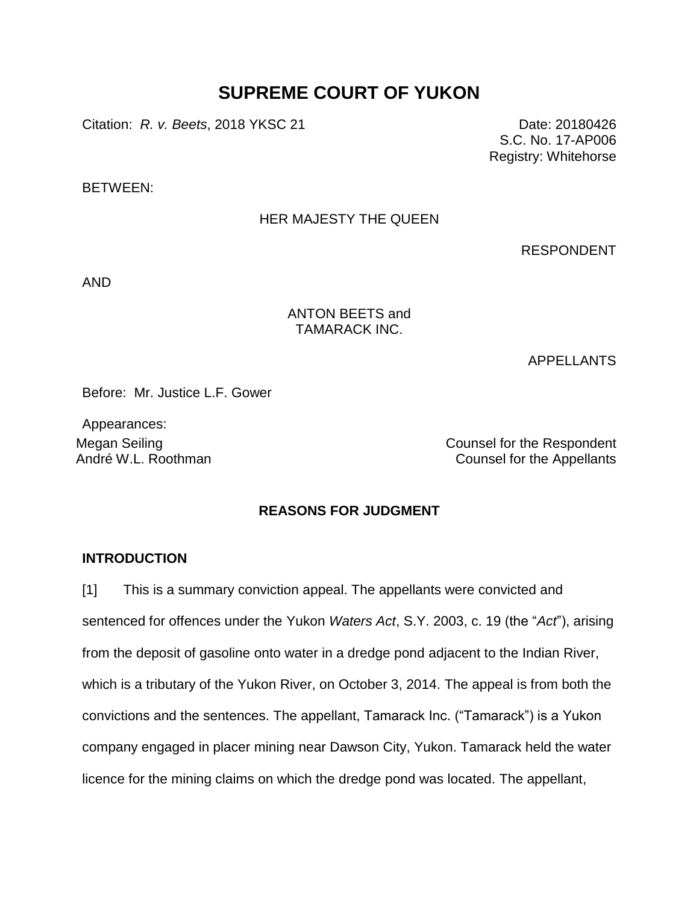# **SUPREME COURT OF YUKON**

Citation: *R. v. Beets*, 2018 YKSC 21 Date: 20180426

S.C. No. 17-AP006 Registry: Whitehorse

BETWEEN:

## HER MAJESTY THE QUEEN

RESPONDENT

AND

## ANTON BEETS and TAMARACK INC.

APPELLANTS

Before: Mr. Justice L.F. Gower

Appearances:

Megan Seiling Counsel for the Respondent André W.L. Roothman Counsel for the Appellants

## **REASONS FOR JUDGMENT**

## **INTRODUCTION**

[1] This is a summary conviction appeal. The appellants were convicted and sentenced for offences under the Yukon *Waters Act*, S.Y. 2003, c. 19 (the "*Act*"), arising from the deposit of gasoline onto water in a dredge pond adjacent to the Indian River, which is a tributary of the Yukon River, on October 3, 2014. The appeal is from both the convictions and the sentences. The appellant, Tamarack Inc. ("Tamarack") is a Yukon company engaged in placer mining near Dawson City, Yukon. Tamarack held the water licence for the mining claims on which the dredge pond was located. The appellant,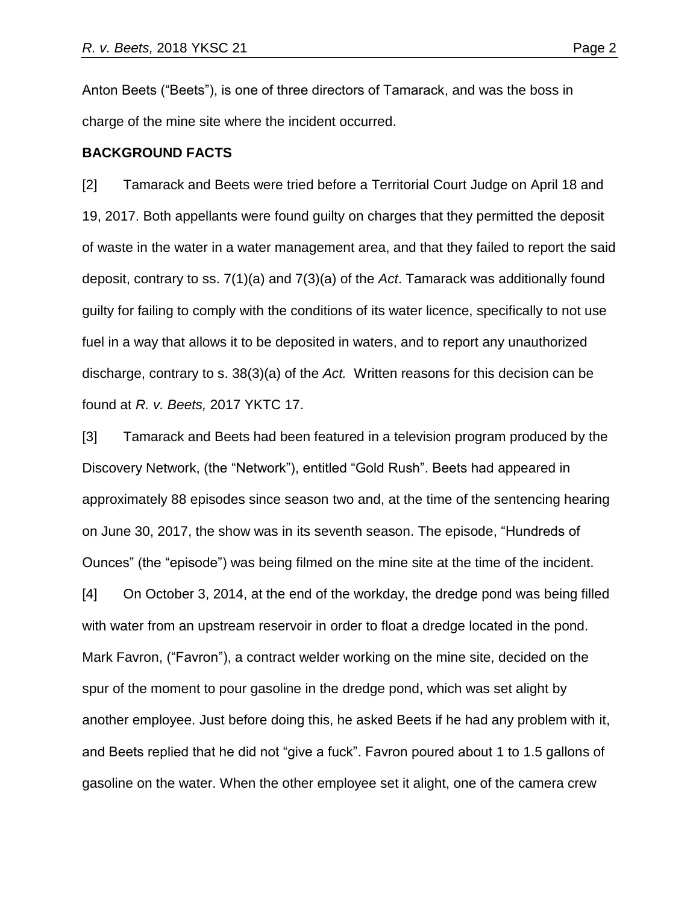Anton Beets ("Beets"), is one of three directors of Tamarack, and was the boss in charge of the mine site where the incident occurred.

#### **BACKGROUND FACTS**

[2] Tamarack and Beets were tried before a Territorial Court Judge on April 18 and 19, 2017. Both appellants were found guilty on charges that they permitted the deposit of waste in the water in a water management area, and that they failed to report the said deposit, contrary to ss. 7(1)(a) and 7(3)(a) of the *Act*. Tamarack was additionally found guilty for failing to comply with the conditions of its water licence, specifically to not use fuel in a way that allows it to be deposited in waters, and to report any unauthorized discharge, contrary to s. 38(3)(a) of the *Act.* Written reasons for this decision can be found at *R. v. Beets,* 2017 YKTC 17.

[3] Tamarack and Beets had been featured in a television program produced by the Discovery Network, (the "Network"), entitled "Gold Rush". Beets had appeared in approximately 88 episodes since season two and, at the time of the sentencing hearing on June 30, 2017, the show was in its seventh season. The episode, "Hundreds of Ounces" (the "episode") was being filmed on the mine site at the time of the incident. [4] On October 3, 2014, at the end of the workday, the dredge pond was being filled with water from an upstream reservoir in order to float a dredge located in the pond. Mark Favron, ("Favron"), a contract welder working on the mine site, decided on the spur of the moment to pour gasoline in the dredge pond, which was set alight by another employee. Just before doing this, he asked Beets if he had any problem with it, and Beets replied that he did not "give a fuck". Favron poured about 1 to 1.5 gallons of gasoline on the water. When the other employee set it alight, one of the camera crew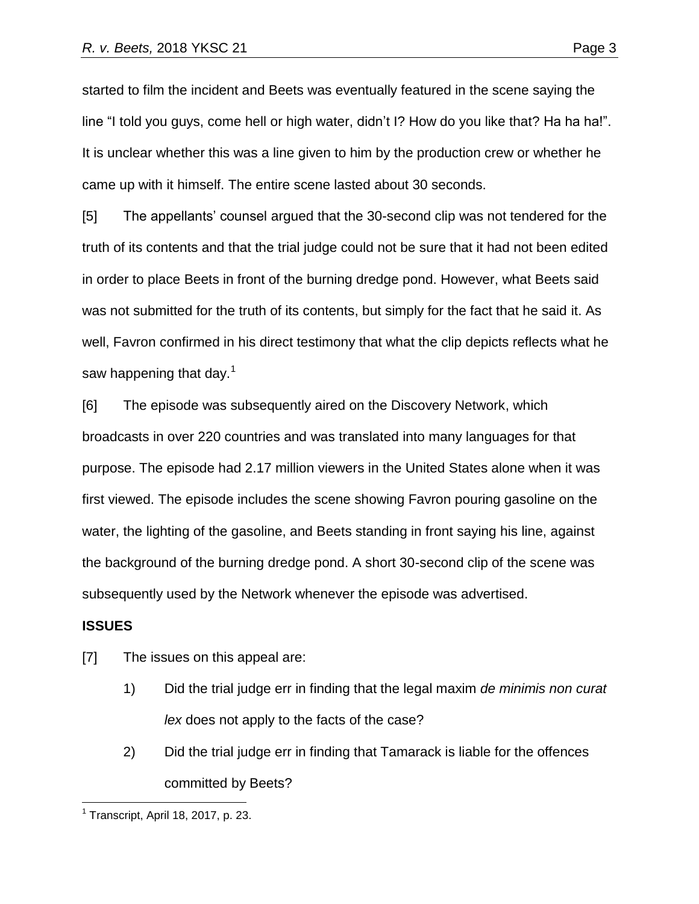started to film the incident and Beets was eventually featured in the scene saying the line "I told you guys, come hell or high water, didn't I? How do you like that? Ha ha ha!". It is unclear whether this was a line given to him by the production crew or whether he came up with it himself. The entire scene lasted about 30 seconds.

[5] The appellants' counsel argued that the 30-second clip was not tendered for the truth of its contents and that the trial judge could not be sure that it had not been edited in order to place Beets in front of the burning dredge pond. However, what Beets said was not submitted for the truth of its contents, but simply for the fact that he said it. As well, Favron confirmed in his direct testimony that what the clip depicts reflects what he saw happening that day. $1$ 

[6] The episode was subsequently aired on the Discovery Network, which broadcasts in over 220 countries and was translated into many languages for that purpose. The episode had 2.17 million viewers in the United States alone when it was first viewed. The episode includes the scene showing Favron pouring gasoline on the water, the lighting of the gasoline, and Beets standing in front saying his line, against the background of the burning dredge pond. A short 30-second clip of the scene was subsequently used by the Network whenever the episode was advertised.

#### **ISSUES**

 $\overline{a}$ 

[7] The issues on this appeal are:

- 1) Did the trial judge err in finding that the legal maxim *de minimis non curat lex* does not apply to the facts of the case?
- 2) Did the trial judge err in finding that Tamarack is liable for the offences committed by Beets?

 $<sup>1</sup>$  Transcript, April 18, 2017, p. 23.</sup>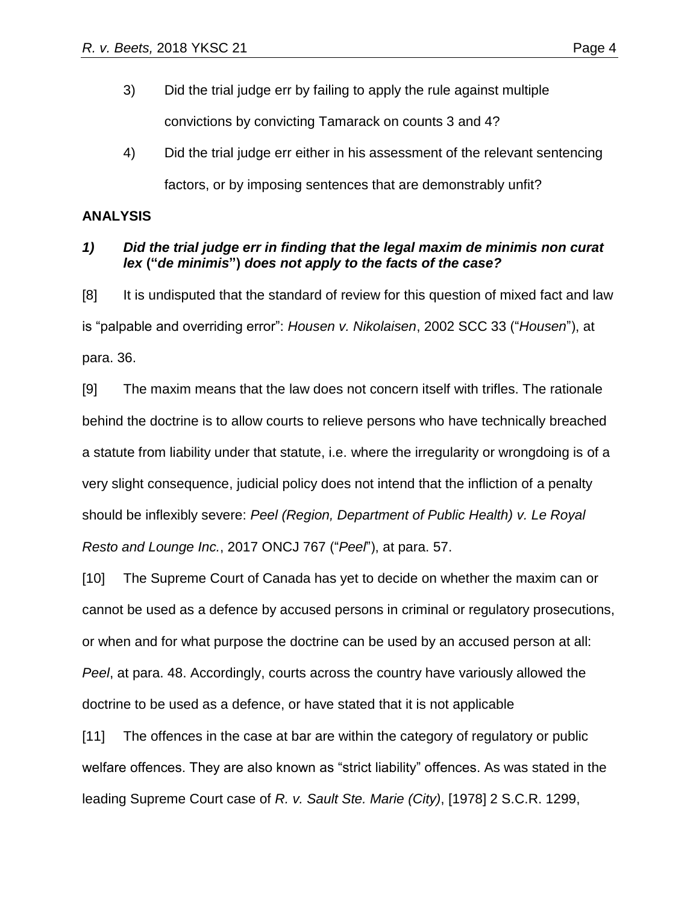- 3) Did the trial judge err by failing to apply the rule against multiple convictions by convicting Tamarack on counts 3 and 4?
- 4) Did the trial judge err either in his assessment of the relevant sentencing factors, or by imposing sentences that are demonstrably unfit?

## **ANALYSIS**

## *1) Did the trial judge err in finding that the legal maxim de minimis non curat lex* **("***de minimis***")** *does not apply to the facts of the case?*

[8] It is undisputed that the standard of review for this question of mixed fact and law is "palpable and overriding error": *Housen v. Nikolaisen*, 2002 SCC 33 ("*Housen*"), at para. 36.

[9] The maxim means that the law does not concern itself with trifles. The rationale behind the doctrine is to allow courts to relieve persons who have technically breached a statute from liability under that statute, i.e. where the irregularity or wrongdoing is of a very slight consequence, judicial policy does not intend that the infliction of a penalty should be inflexibly severe: *Peel (Region, Department of Public Health) v. Le Royal Resto and Lounge Inc.*, 2017 ONCJ 767 ("*Peel*"), at para. 57.

[10] The Supreme Court of Canada has yet to decide on whether the maxim can or cannot be used as a defence by accused persons in criminal or regulatory prosecutions, or when and for what purpose the doctrine can be used by an accused person at all: *Peel*, at para. 48. Accordingly, courts across the country have variously allowed the doctrine to be used as a defence, or have stated that it is not applicable

[11] The offences in the case at bar are within the category of regulatory or public welfare offences. They are also known as "strict liability" offences. As was stated in the leading Supreme Court case of *R. v. Sault Ste. Marie (City)*, [1978] 2 S.C.R. 1299,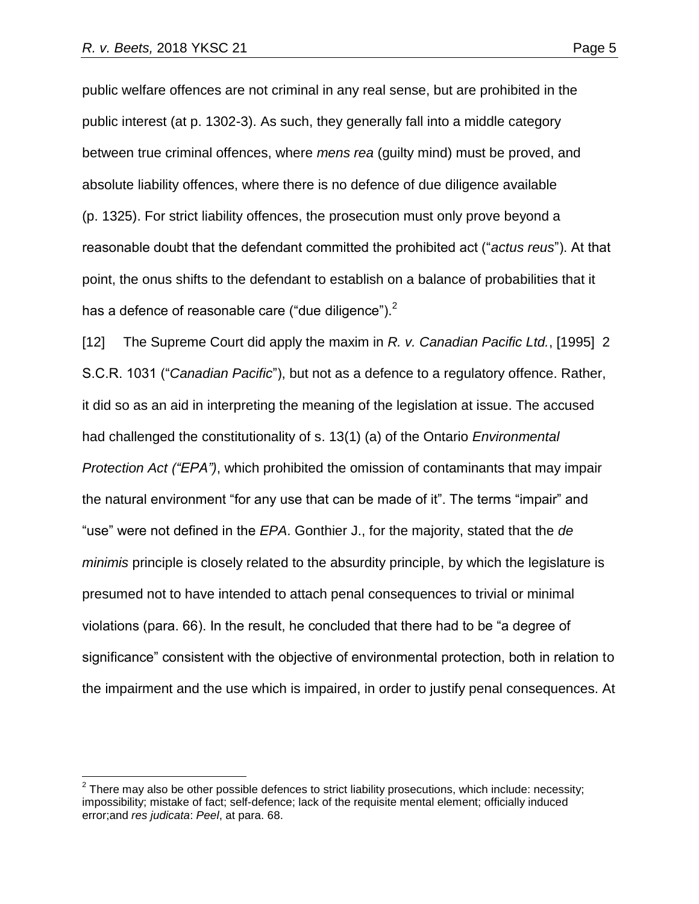$\overline{a}$ 

public welfare offences are not criminal in any real sense, but are prohibited in the public interest (at p. 1302-3). As such, they generally fall into a middle category between true criminal offences, where *mens rea* (guilty mind) must be proved, and absolute liability offences, where there is no defence of due diligence available (p. 1325). For strict liability offences, the prosecution must only prove beyond a reasonable doubt that the defendant committed the prohibited act ("*actus reus*"). At that point, the onus shifts to the defendant to establish on a balance of probabilities that it has a defence of reasonable care ("due diligence").<sup>2</sup>

[12] The Supreme Court did apply the maxim in *R. v. Canadian Pacific Ltd.*, [1995] 2 S.C.R. 1031 ("*Canadian Pacific*"), but not as a defence to a regulatory offence. Rather, it did so as an aid in interpreting the meaning of the legislation at issue. The accused had challenged the constitutionality of s. 13(1) (a) of the Ontario *Environmental Protection Act ("EPA")*, which prohibited the omission of contaminants that may impair the natural environment "for any use that can be made of it". The terms "impair" and "use" were not defined in the *EPA*. Gonthier J., for the majority, stated that the *de minimis* principle is closely related to the absurdity principle, by which the legislature is presumed not to have intended to attach penal consequences to trivial or minimal violations (para. 66). In the result, he concluded that there had to be "a degree of significance" consistent with the objective of environmental protection, both in relation to the impairment and the use which is impaired, in order to justify penal consequences. At

 $2$  There may also be other possible defences to strict liability prosecutions, which include: necessity; impossibility; mistake of fact; self-defence; lack of the requisite mental element; officially induced error;and *res judicata*: *Peel*, at para. 68.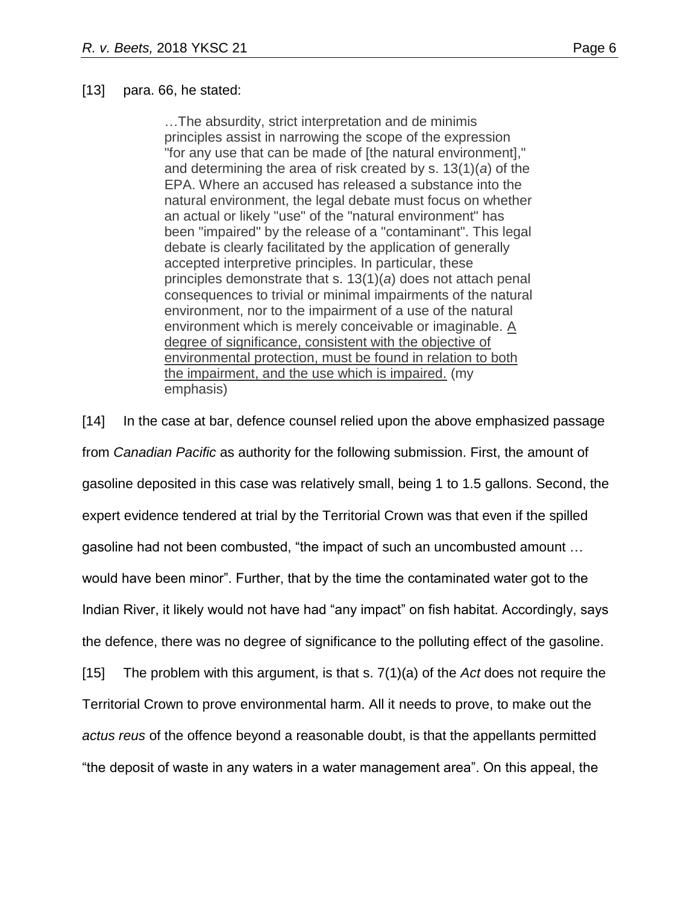#### [13] para. 66, he stated:

…The absurdity, strict interpretation and de minimis principles assist in narrowing the scope of the expression "for any use that can be made of [the natural environment]," and determining the area of risk created by s. 13(1)(*a*) of the EPA. Where an accused has released a substance into the natural environment, the legal debate must focus on whether an actual or likely "use" of the "natural environment" has been "impaired" by the release of a "contaminant". This legal debate is clearly facilitated by the application of generally accepted interpretive principles. In particular, these principles demonstrate that s. 13(1)(*a*) does not attach penal consequences to trivial or minimal impairments of the natural environment, nor to the impairment of a use of the natural environment which is merely conceivable or imaginable. A degree of significance, consistent with the objective of environmental protection, must be found in relation to both the impairment, and the use which is impaired. (my emphasis)

[14] In the case at bar, defence counsel relied upon the above emphasized passage from *Canadian Pacific* as authority for the following submission. First, the amount of gasoline deposited in this case was relatively small, being 1 to 1.5 gallons. Second, the expert evidence tendered at trial by the Territorial Crown was that even if the spilled gasoline had not been combusted, "the impact of such an uncombusted amount … would have been minor". Further, that by the time the contaminated water got to the Indian River, it likely would not have had "any impact" on fish habitat. Accordingly, says the defence, there was no degree of significance to the polluting effect of the gasoline. [15] The problem with this argument, is that s. 7(1)(a) of the *Act* does not require the Territorial Crown to prove environmental harm. All it needs to prove, to make out the *actus reus* of the offence beyond a reasonable doubt, is that the appellants permitted "the deposit of waste in any waters in a water management area". On this appeal, the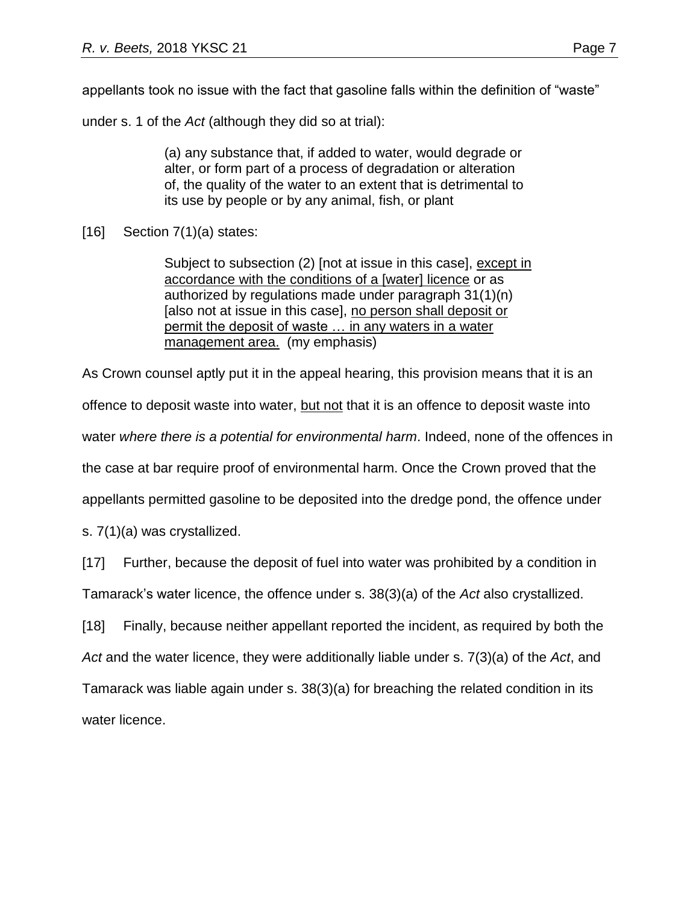under s. 1 of the *Act* (although they did so at trial):

(a) any substance that, if added to water, would degrade or alter, or form part of a process of degradation or alteration of, the quality of the water to an extent that is detrimental to its use by people or by any animal, fish, or plant

[16] Section 7(1)(a) states:

Subject to subsection (2) [not at issue in this case], except in accordance with the conditions of a [water] licence or as authorized by regulations made under paragraph 31(1)(n) [also not at issue in this case], no person shall deposit or permit the deposit of waste … in any waters in a water management area. (my emphasis)

As Crown counsel aptly put it in the appeal hearing, this provision means that it is an offence to deposit waste into water, but not that it is an offence to deposit waste into water *where there is a potential for environmental harm*. Indeed, none of the offences in the case at bar require proof of environmental harm. Once the Crown proved that the appellants permitted gasoline to be deposited into the dredge pond, the offence under

s. 7(1)(a) was crystallized.

[17] Further, because the deposit of fuel into water was prohibited by a condition in Tamarack's water licence, the offence under s. 38(3)(a) of the *Act* also crystallized.

[18] Finally, because neither appellant reported the incident, as required by both the *Act* and the water licence, they were additionally liable under s. 7(3)(a) of the *Act*, and Tamarack was liable again under s. 38(3)(a) for breaching the related condition in its water licence.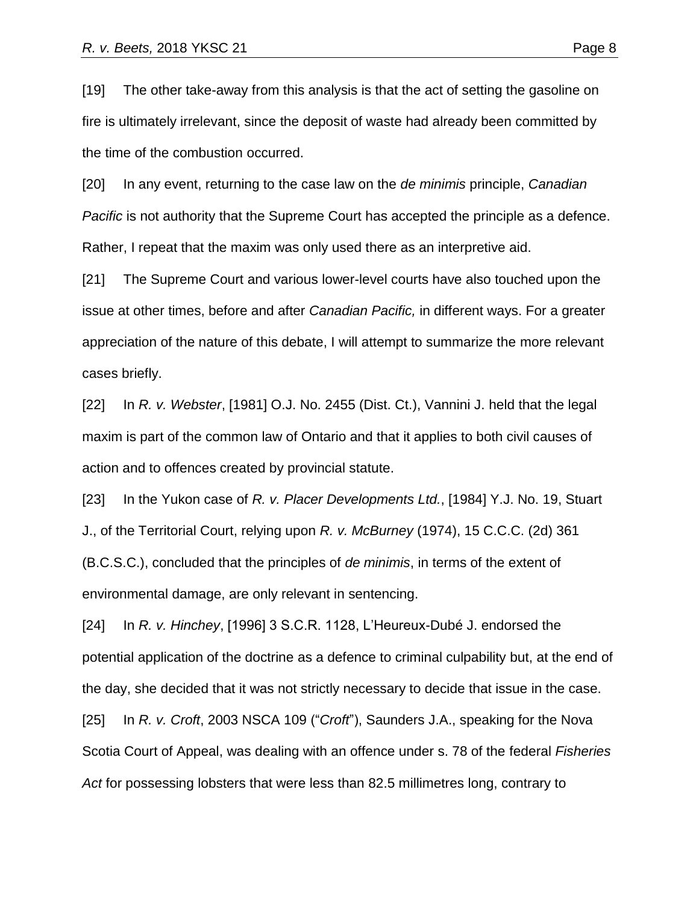[19] The other take-away from this analysis is that the act of setting the gasoline on fire is ultimately irrelevant, since the deposit of waste had already been committed by the time of the combustion occurred.

[20] In any event, returning to the case law on the *de minimis* principle, *Canadian Pacific* is not authority that the Supreme Court has accepted the principle as a defence. Rather, I repeat that the maxim was only used there as an interpretive aid.

[21] The Supreme Court and various lower-level courts have also touched upon the issue at other times, before and after *Canadian Pacific,* in different ways. For a greater appreciation of the nature of this debate, I will attempt to summarize the more relevant cases briefly.

[22] In *R. v. Webster*, [1981] O.J. No. 2455 (Dist. Ct.), Vannini J. held that the legal maxim is part of the common law of Ontario and that it applies to both civil causes of action and to offences created by provincial statute.

[23] In the Yukon case of *R. v. Placer Developments Ltd.*, [1984] Y.J. No. 19, Stuart J., of the Territorial Court, relying upon *R. v. McBurney* (1974), 15 C.C.C. (2d) 361 (B.C.S.C.), concluded that the principles of *de minimis*, in terms of the extent of environmental damage, are only relevant in sentencing.

[24] In *R. v. Hinchey*, [1996] 3 S.C.R. 1128, L'Heureux-Dubé J. endorsed the potential application of the doctrine as a defence to criminal culpability but, at the end of the day, she decided that it was not strictly necessary to decide that issue in the case.

[25] In *R. v. Croft*, 2003 NSCA 109 ("*Croft*"), Saunders J.A., speaking for the Nova Scotia Court of Appeal, was dealing with an offence under s. 78 of the federal *Fisheries Act* for possessing lobsters that were less than 82.5 millimetres long, contrary to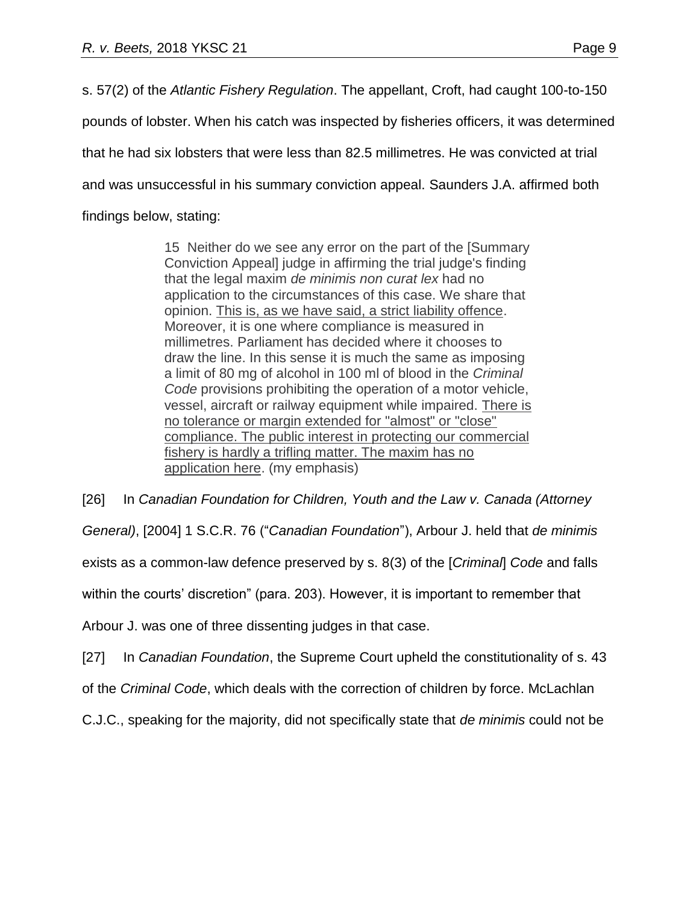s. 57(2) of the *Atlantic Fishery Regulation*. The appellant, Croft, had caught 100-to-150 pounds of lobster. When his catch was inspected by fisheries officers, it was determined that he had six lobsters that were less than 82.5 millimetres. He was convicted at trial and was unsuccessful in his summary conviction appeal. Saunders J.A. affirmed both findings below, stating:

> 15 Neither do we see any error on the part of the [Summary Conviction Appeal] judge in affirming the trial judge's finding that the legal maxim *de minimis non curat lex* had no application to the circumstances of this case. We share that opinion. This is, as we have said, a strict liability offence. Moreover, it is one where compliance is measured in millimetres. Parliament has decided where it chooses to draw the line. In this sense it is much the same as imposing a limit of 80 mg of alcohol in 100 ml of blood in the *Criminal Code* provisions prohibiting the operation of a motor vehicle, vessel, aircraft or railway equipment while impaired. There is no tolerance or margin extended for "almost" or "close" compliance. The public interest in protecting our commercial fishery is hardly a trifling matter. The maxim has no application here. (my emphasis)

[26] In *Canadian Foundation for Children, Youth and the Law v. Canada (Attorney General)*, [2004] 1 S.C.R. 76 ("*Canadian Foundation*"), Arbour J. held that *de minimis* exists as a common-law defence preserved by s. 8(3) of the [*Criminal*] *Code* and falls within the courts' discretion" (para. 203). However, it is important to remember that Arbour J. was one of three dissenting judges in that case.

[27] In *Canadian Foundation*, the Supreme Court upheld the constitutionality of s. 43

of the *Criminal Code*, which deals with the correction of children by force. McLachlan

C.J.C., speaking for the majority, did not specifically state that *de minimis* could not be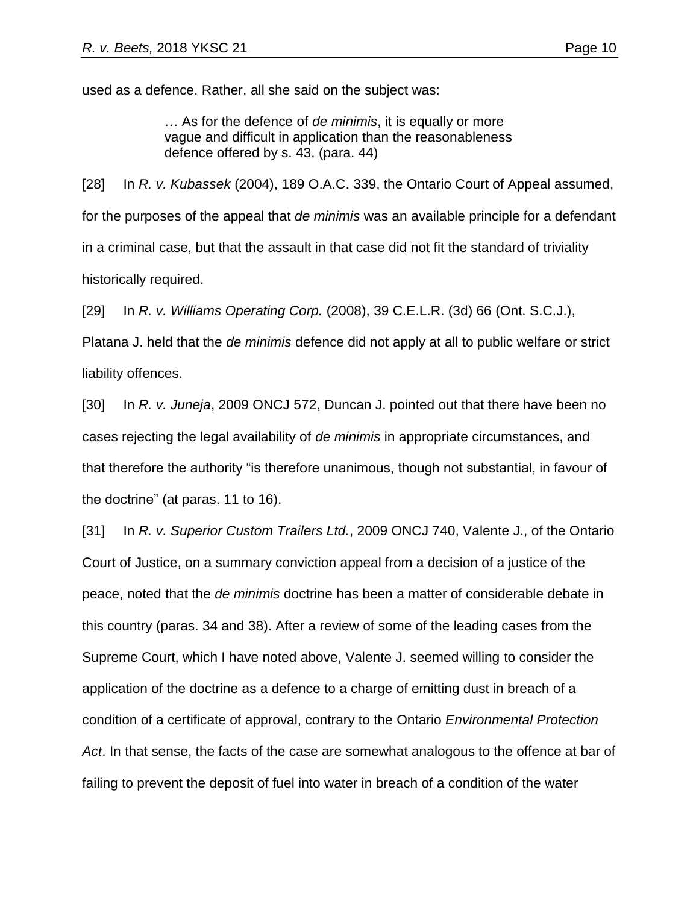… As for the defence of *de minimis*, it is equally or more vague and difficult in application than the reasonableness defence offered by s. 43. (para. 44)

[28] In *R. v. Kubassek* (2004), 189 O.A.C. 339, the Ontario Court of Appeal assumed, for the purposes of the appeal that *de minimis* was an available principle for a defendant in a criminal case, but that the assault in that case did not fit the standard of triviality historically required.

[29] In *R. v. Williams Operating Corp.* (2008), 39 C.E.L.R. (3d) 66 (Ont. S.C.J.),

Platana J. held that the *de minimis* defence did not apply at all to public welfare or strict liability offences.

[30] In *R. v. Juneja*, 2009 ONCJ 572, Duncan J. pointed out that there have been no cases rejecting the legal availability of *de minimis* in appropriate circumstances, and that therefore the authority "is therefore unanimous, though not substantial, in favour of the doctrine" (at paras. 11 to 16).

[31] In *R. v. Superior Custom Trailers Ltd.*, 2009 ONCJ 740, Valente J., of the Ontario Court of Justice, on a summary conviction appeal from a decision of a justice of the peace, noted that the *de minimis* doctrine has been a matter of considerable debate in this country (paras. 34 and 38). After a review of some of the leading cases from the Supreme Court, which I have noted above, Valente J. seemed willing to consider the application of the doctrine as a defence to a charge of emitting dust in breach of a condition of a certificate of approval, contrary to the Ontario *Environmental Protection Act*. In that sense, the facts of the case are somewhat analogous to the offence at bar of failing to prevent the deposit of fuel into water in breach of a condition of the water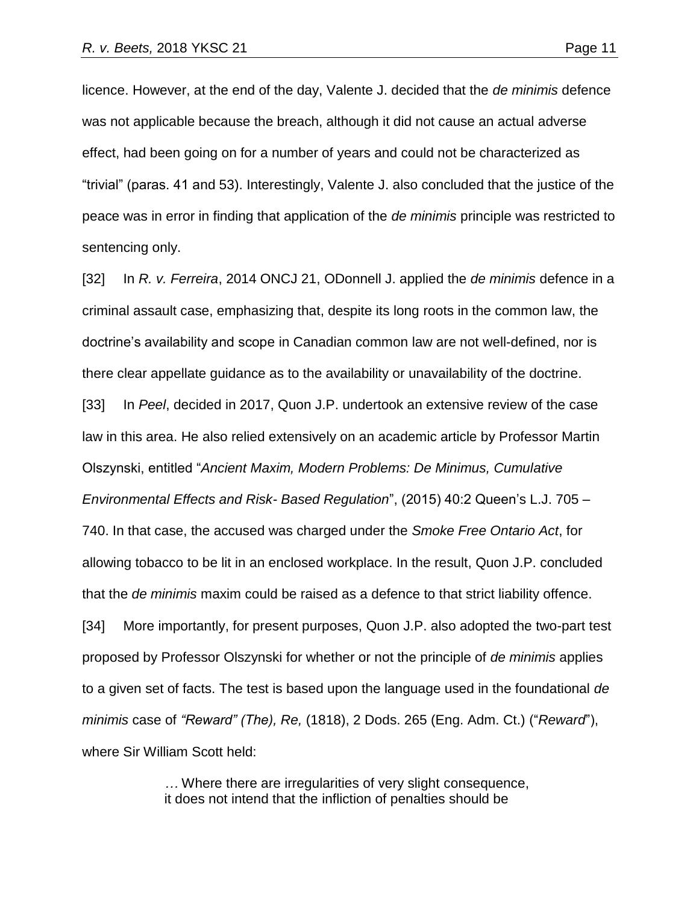licence. However, at the end of the day, Valente J. decided that the *de minimis* defence was not applicable because the breach, although it did not cause an actual adverse effect, had been going on for a number of years and could not be characterized as "trivial" (paras. 41 and 53). Interestingly, Valente J. also concluded that the justice of the peace was in error in finding that application of the *de minimis* principle was restricted to sentencing only.

[32] In *R. v. Ferreira*, 2014 ONCJ 21, ODonnell J. applied the *de minimis* defence in a criminal assault case, emphasizing that, despite its long roots in the common law, the doctrine's availability and scope in Canadian common law are not well-defined, nor is there clear appellate guidance as to the availability or unavailability of the doctrine. [33] In *Peel*, decided in 2017, Quon J.P. undertook an extensive review of the case law in this area. He also relied extensively on an academic article by Professor Martin Olszynski, entitled "*Ancient Maxim, Modern Problems: De Minimus, Cumulative Environmental Effects and Risk- Based Regulation*", (2015) 40:2 Queen's L.J. 705 – 740. In that case, the accused was charged under the *Smoke Free Ontario Act*, for allowing tobacco to be lit in an enclosed workplace. In the result, Quon J.P. concluded that the *de minimis* maxim could be raised as a defence to that strict liability offence. [34] More importantly, for present purposes, Quon J.P. also adopted the two-part test proposed by Professor Olszynski for whether or not the principle of *de minimis* applies to a given set of facts. The test is based upon the language used in the foundational *de minimis* case of *"Reward" (The), Re,* (1818), 2 Dods. 265 (Eng. Adm. Ct.) ("*Reward*"), where Sir William Scott held:

> *…* Where there are irregularities of very slight consequence, it does not intend that the infliction of penalties should be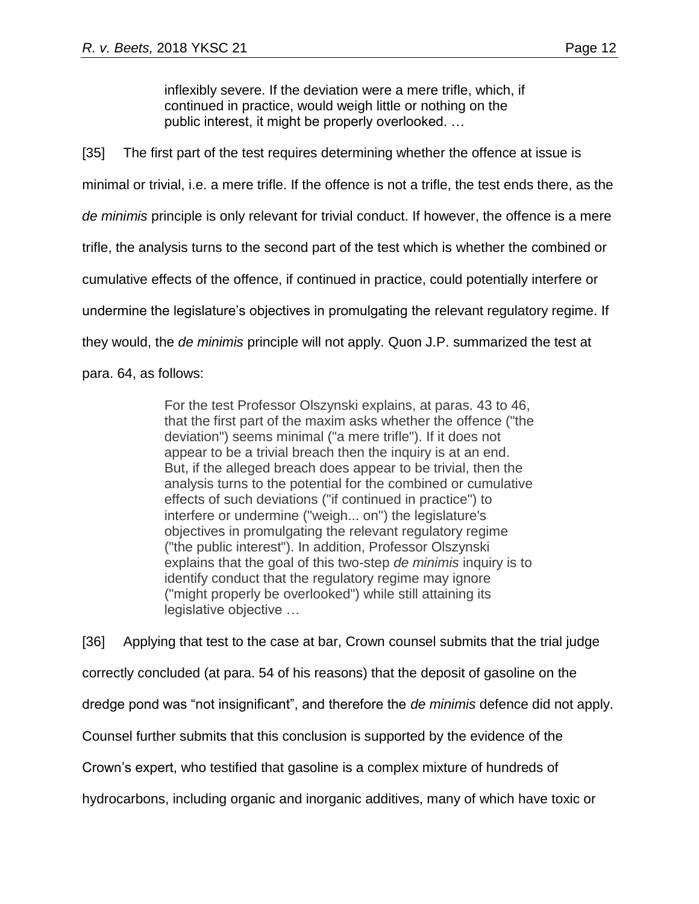inflexibly severe. If the deviation were a mere trifle, which, if continued in practice, would weigh little or nothing on the public interest, it might be properly overlooked. …

[35] The first part of the test requires determining whether the offence at issue is minimal or trivial, i.e. a mere trifle. If the offence is not a trifle, the test ends there, as the *de minimis* principle is only relevant for trivial conduct. If however, the offence is a mere trifle, the analysis turns to the second part of the test which is whether the combined or cumulative effects of the offence, if continued in practice, could potentially interfere or undermine the legislature's objectives in promulgating the relevant regulatory regime. If they would, the *de minimis* principle will not apply. Quon J.P. summarized the test at para. 64, as follows:

> For the test Professor Olszynski explains, at paras. 43 to 46, that the first part of the maxim asks whether the offence ("the deviation") seems minimal ("a mere trifle"). If it does not appear to be a trivial breach then the inquiry is at an end. But, if the alleged breach does appear to be trivial, then the analysis turns to the potential for the combined or cumulative effects of such deviations ("if continued in practice") to interfere or undermine ("weigh... on") the legislature's objectives in promulgating the relevant regulatory regime ("the public interest"). In addition, Professor Olszynski explains that the goal of this two-step *de minimis* inquiry is to identify conduct that the regulatory regime may ignore ("might properly be overlooked") while still attaining its legislative objective …

[36] Applying that test to the case at bar, Crown counsel submits that the trial judge correctly concluded (at para. 54 of his reasons) that the deposit of gasoline on the dredge pond was "not insignificant", and therefore the *de minimis* defence did not apply. Counsel further submits that this conclusion is supported by the evidence of the Crown's expert, who testified that gasoline is a complex mixture of hundreds of hydrocarbons, including organic and inorganic additives, many of which have toxic or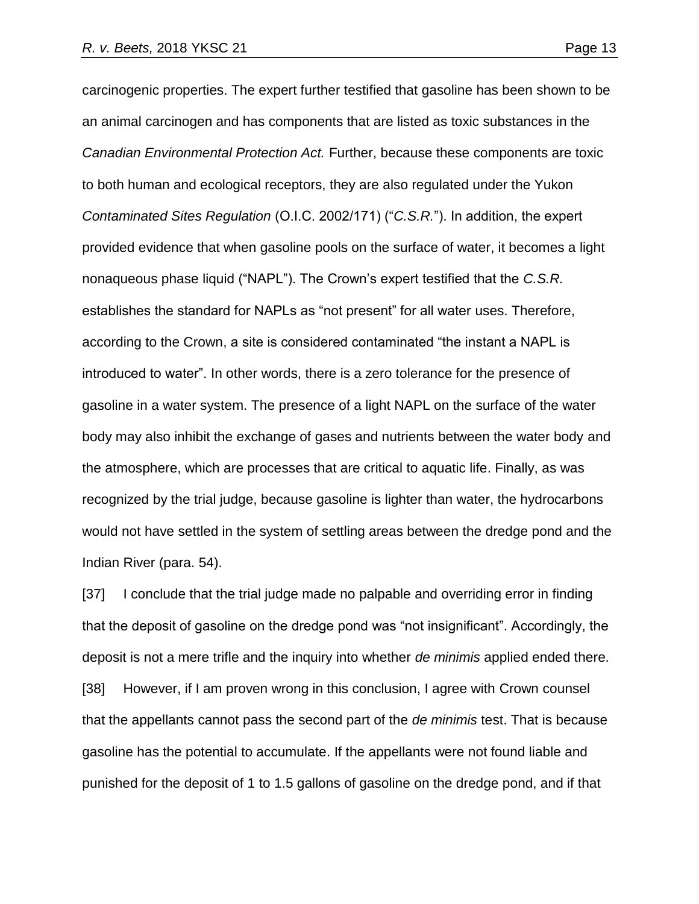carcinogenic properties. The expert further testified that gasoline has been shown to be an animal carcinogen and has components that are listed as toxic substances in the *Canadian Environmental Protection Act.* Further, because these components are toxic to both human and ecological receptors, they are also regulated under the Yukon *Contaminated Sites Regulation* (O.I.C. 2002/171) ("*C.S.R.*"). In addition, the expert provided evidence that when gasoline pools on the surface of water, it becomes a light nonaqueous phase liquid ("NAPL"). The Crown's expert testified that the *C.S.R.* establishes the standard for NAPLs as "not present" for all water uses. Therefore, according to the Crown, a site is considered contaminated "the instant a NAPL is introduced to water". In other words, there is a zero tolerance for the presence of gasoline in a water system. The presence of a light NAPL on the surface of the water body may also inhibit the exchange of gases and nutrients between the water body and the atmosphere, which are processes that are critical to aquatic life. Finally, as was recognized by the trial judge, because gasoline is lighter than water, the hydrocarbons would not have settled in the system of settling areas between the dredge pond and the Indian River (para. 54).

[37] I conclude that the trial judge made no palpable and overriding error in finding that the deposit of gasoline on the dredge pond was "not insignificant". Accordingly, the deposit is not a mere trifle and the inquiry into whether *de minimis* applied ended there. [38] However, if I am proven wrong in this conclusion, I agree with Crown counsel that the appellants cannot pass the second part of the *de minimis* test. That is because gasoline has the potential to accumulate. If the appellants were not found liable and punished for the deposit of 1 to 1.5 gallons of gasoline on the dredge pond, and if that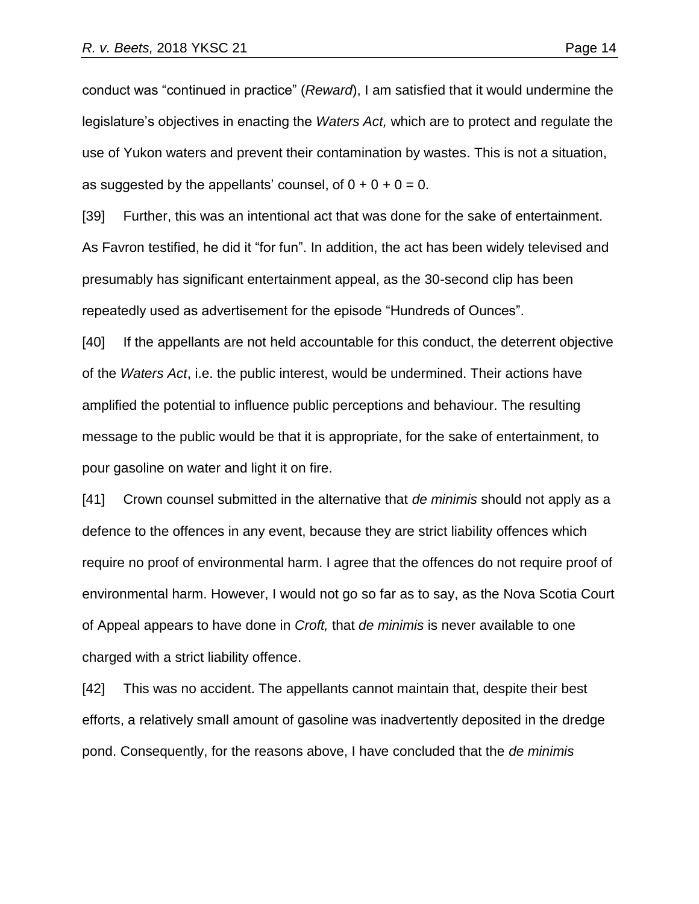conduct was "continued in practice" (*Reward*), I am satisfied that it would undermine the legislature's objectives in enacting the *Waters Act,* which are to protect and regulate the use of Yukon waters and prevent their contamination by wastes. This is not a situation, as suggested by the appellants' counsel, of  $0 + 0 + 0 = 0$ .

[39] Further, this was an intentional act that was done for the sake of entertainment. As Favron testified, he did it "for fun". In addition, the act has been widely televised and presumably has significant entertainment appeal, as the 30-second clip has been repeatedly used as advertisement for the episode "Hundreds of Ounces".

[40] If the appellants are not held accountable for this conduct, the deterrent objective of the *Waters Act*, i.e. the public interest, would be undermined. Their actions have amplified the potential to influence public perceptions and behaviour. The resulting message to the public would be that it is appropriate, for the sake of entertainment, to pour gasoline on water and light it on fire.

[41] Crown counsel submitted in the alternative that *de minimis* should not apply as a defence to the offences in any event, because they are strict liability offences which require no proof of environmental harm. I agree that the offences do not require proof of environmental harm. However, I would not go so far as to say, as the Nova Scotia Court of Appeal appears to have done in *Croft,* that *de minimis* is never available to one charged with a strict liability offence.

[42] This was no accident. The appellants cannot maintain that, despite their best efforts, a relatively small amount of gasoline was inadvertently deposited in the dredge pond. Consequently, for the reasons above, I have concluded that the *de minimis*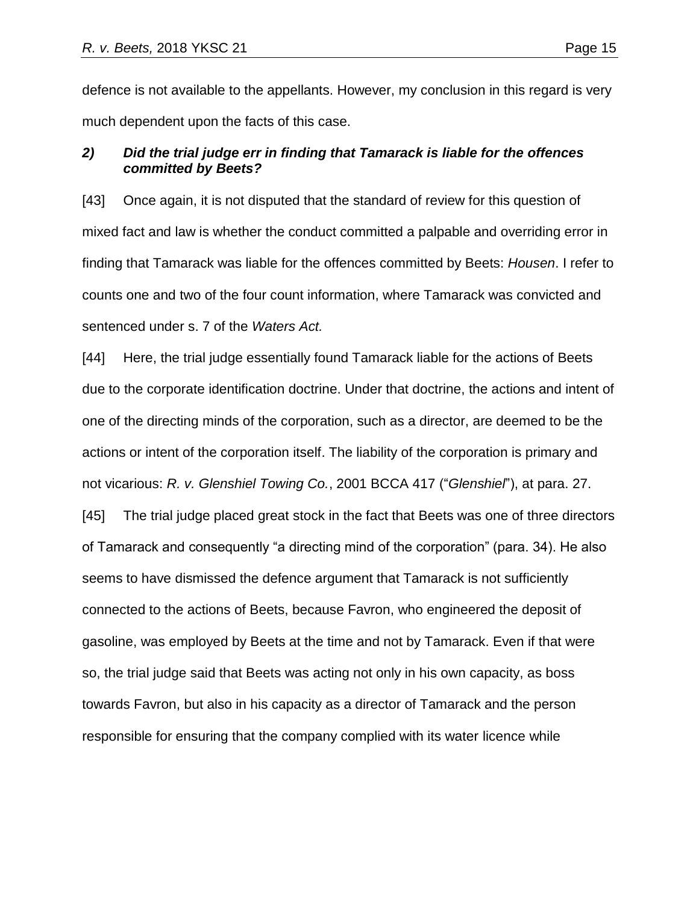defence is not available to the appellants. However, my conclusion in this regard is very much dependent upon the facts of this case.

# *2) Did the trial judge err in finding that Tamarack is liable for the offences committed by Beets?*

[43] Once again, it is not disputed that the standard of review for this question of mixed fact and law is whether the conduct committed a palpable and overriding error in finding that Tamarack was liable for the offences committed by Beets: *Housen*. I refer to counts one and two of the four count information, where Tamarack was convicted and sentenced under s. 7 of the *Waters Act.*

[44] Here, the trial judge essentially found Tamarack liable for the actions of Beets due to the corporate identification doctrine. Under that doctrine, the actions and intent of one of the directing minds of the corporation, such as a director, are deemed to be the actions or intent of the corporation itself. The liability of the corporation is primary and not vicarious: *R. v. Glenshiel Towing Co.*, 2001 BCCA 417 ("*Glenshiel*"), at para. 27.

[45] The trial judge placed great stock in the fact that Beets was one of three directors of Tamarack and consequently "a directing mind of the corporation" (para. 34). He also seems to have dismissed the defence argument that Tamarack is not sufficiently connected to the actions of Beets, because Favron, who engineered the deposit of gasoline, was employed by Beets at the time and not by Tamarack. Even if that were so, the trial judge said that Beets was acting not only in his own capacity, as boss towards Favron, but also in his capacity as a director of Tamarack and the person responsible for ensuring that the company complied with its water licence while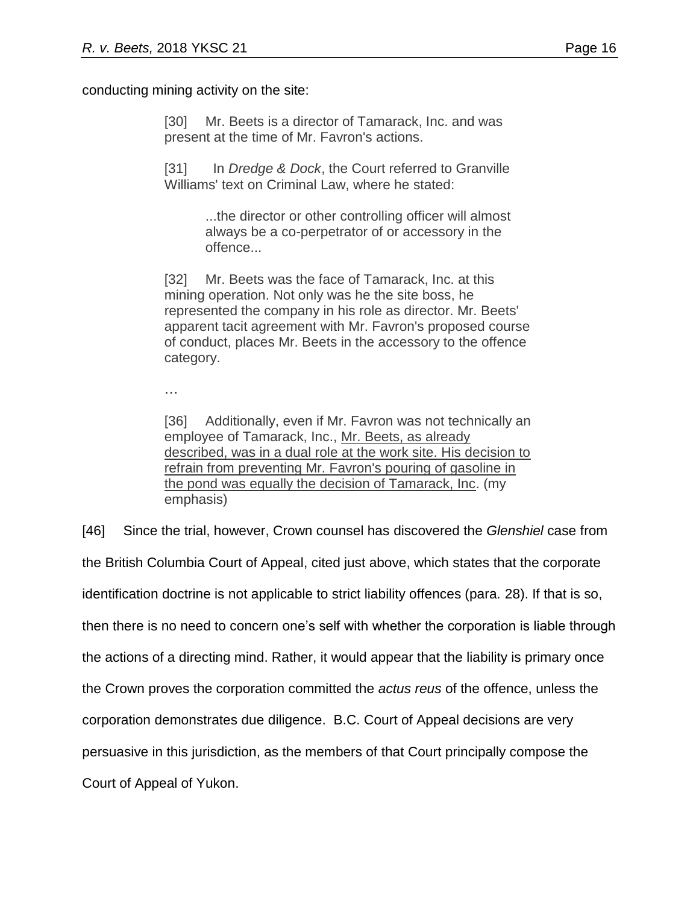conducting mining activity on the site:

[30] Mr. Beets is a director of Tamarack, Inc. and was present at the time of Mr. Favron's actions.

[31] In *Dredge & Dock*, the Court referred to Granville Williams' text on Criminal Law, where he stated:

> ...the director or other controlling officer will almost always be a co-perpetrator of or accessory in the offence...

[32] Mr. Beets was the face of Tamarack, Inc. at this mining operation. Not only was he the site boss, he represented the company in his role as director. Mr. Beets' apparent tacit agreement with Mr. Favron's proposed course of conduct, places Mr. Beets in the accessory to the offence category.

…

[36] Additionally, even if Mr. Favron was not technically an employee of Tamarack, Inc., Mr. Beets, as already described, was in a dual role at the work site. His decision to refrain from preventing Mr. Favron's pouring of gasoline in the pond was equally the decision of Tamarack, Inc. (my emphasis)

[46] Since the trial, however, Crown counsel has discovered the *Glenshiel* case from the British Columbia Court of Appeal, cited just above, which states that the corporate identification doctrine is not applicable to strict liability offences (para. 28). If that is so, then there is no need to concern one's self with whether the corporation is liable through the actions of a directing mind. Rather, it would appear that the liability is primary once the Crown proves the corporation committed the *actus reus* of the offence, unless the corporation demonstrates due diligence. B.C. Court of Appeal decisions are very persuasive in this jurisdiction, as the members of that Court principally compose the Court of Appeal of Yukon.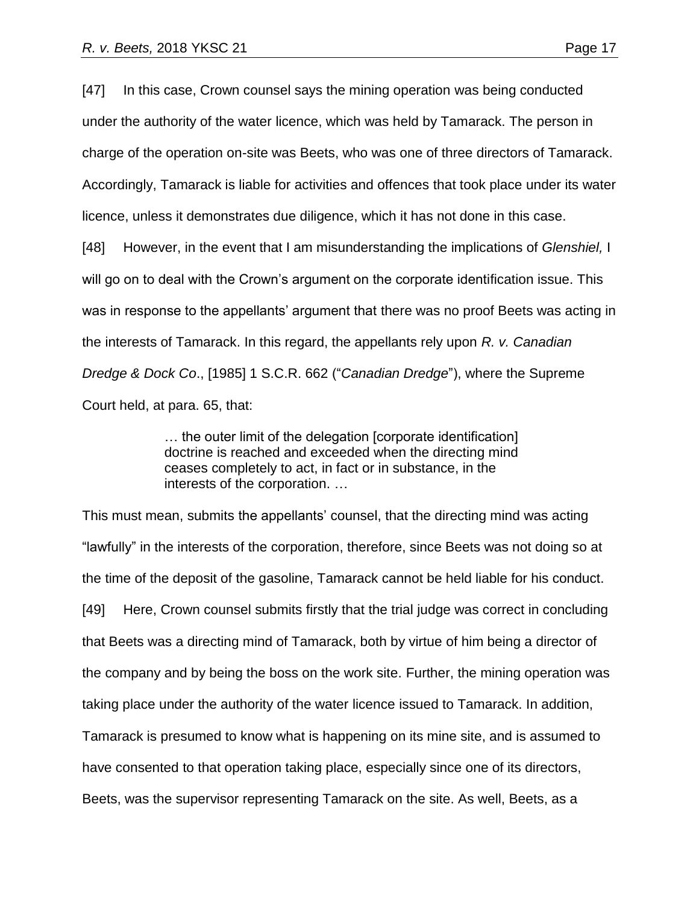[47] In this case, Crown counsel says the mining operation was being conducted under the authority of the water licence, which was held by Tamarack. The person in charge of the operation on-site was Beets, who was one of three directors of Tamarack. Accordingly, Tamarack is liable for activities and offences that took place under its water licence, unless it demonstrates due diligence, which it has not done in this case.

[48] However, in the event that I am misunderstanding the implications of *Glenshiel,* I will go on to deal with the Crown's argument on the corporate identification issue. This was in response to the appellants' argument that there was no proof Beets was acting in the interests of Tamarack. In this regard, the appellants rely upon *R. v. Canadian Dredge & Dock Co*., [1985] 1 S.C.R. 662 ("*Canadian Dredge*"), where the Supreme Court held, at para. 65, that:

> … the outer limit of the delegation [corporate identification] doctrine is reached and exceeded when the directing mind ceases completely to act, in fact or in substance, in the interests of the corporation. …

This must mean, submits the appellants' counsel, that the directing mind was acting "lawfully" in the interests of the corporation, therefore, since Beets was not doing so at the time of the deposit of the gasoline, Tamarack cannot be held liable for his conduct. [49] Here, Crown counsel submits firstly that the trial judge was correct in concluding that Beets was a directing mind of Tamarack, both by virtue of him being a director of the company and by being the boss on the work site. Further, the mining operation was taking place under the authority of the water licence issued to Tamarack. In addition, Tamarack is presumed to know what is happening on its mine site, and is assumed to have consented to that operation taking place, especially since one of its directors, Beets, was the supervisor representing Tamarack on the site. As well, Beets, as a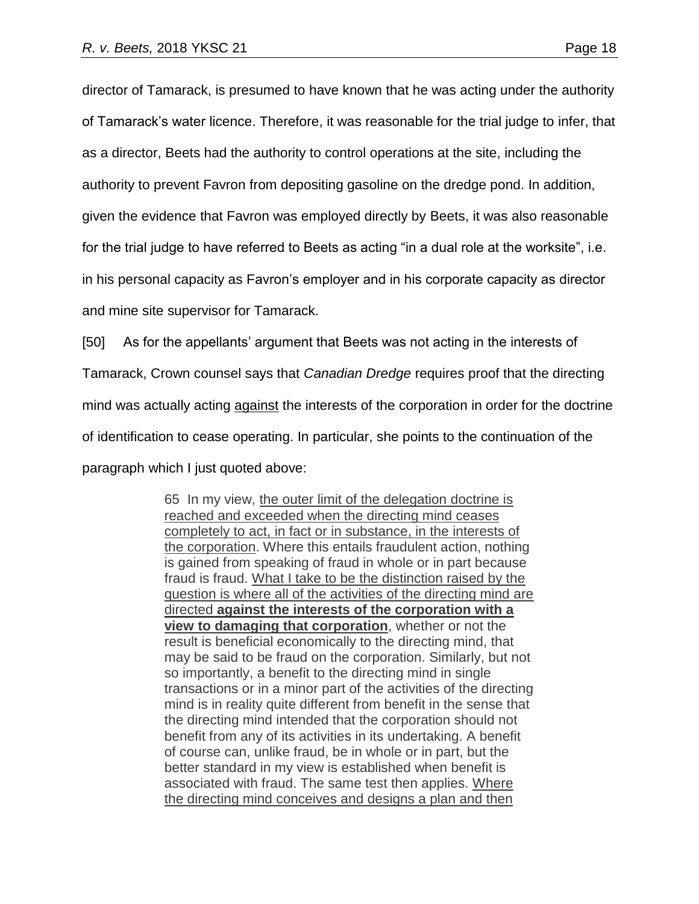director of Tamarack, is presumed to have known that he was acting under the authority of Tamarack's water licence. Therefore, it was reasonable for the trial judge to infer, that as a director, Beets had the authority to control operations at the site, including the authority to prevent Favron from depositing gasoline on the dredge pond. In addition, given the evidence that Favron was employed directly by Beets, it was also reasonable for the trial judge to have referred to Beets as acting "in a dual role at the worksite", i.e. in his personal capacity as Favron's employer and in his corporate capacity as director and mine site supervisor for Tamarack.

[50] As for the appellants' argument that Beets was not acting in the interests of Tamarack, Crown counsel says that *Canadian Dredge* requires proof that the directing mind was actually acting against the interests of the corporation in order for the doctrine of identification to cease operating. In particular, she points to the continuation of the paragraph which I just quoted above:

> 65 In my view, the outer limit of the delegation doctrine is reached and exceeded when the directing mind ceases completely to act, in fact or in substance, in the interests of the corporation. Where this entails fraudulent action, nothing is gained from speaking of fraud in whole or in part because fraud is fraud. What I take to be the distinction raised by the question is where all of the activities of the directing mind are directed **against the interests of the corporation with a view to damaging that corporation**, whether or not the result is beneficial economically to the directing mind, that may be said to be fraud on the corporation. Similarly, but not so importantly, a benefit to the directing mind in single transactions or in a minor part of the activities of the directing mind is in reality quite different from benefit in the sense that the directing mind intended that the corporation should not benefit from any of its activities in its undertaking. A benefit of course can, unlike fraud, be in whole or in part, but the better standard in my view is established when benefit is associated with fraud. The same test then applies. Where the directing mind conceives and designs a plan and then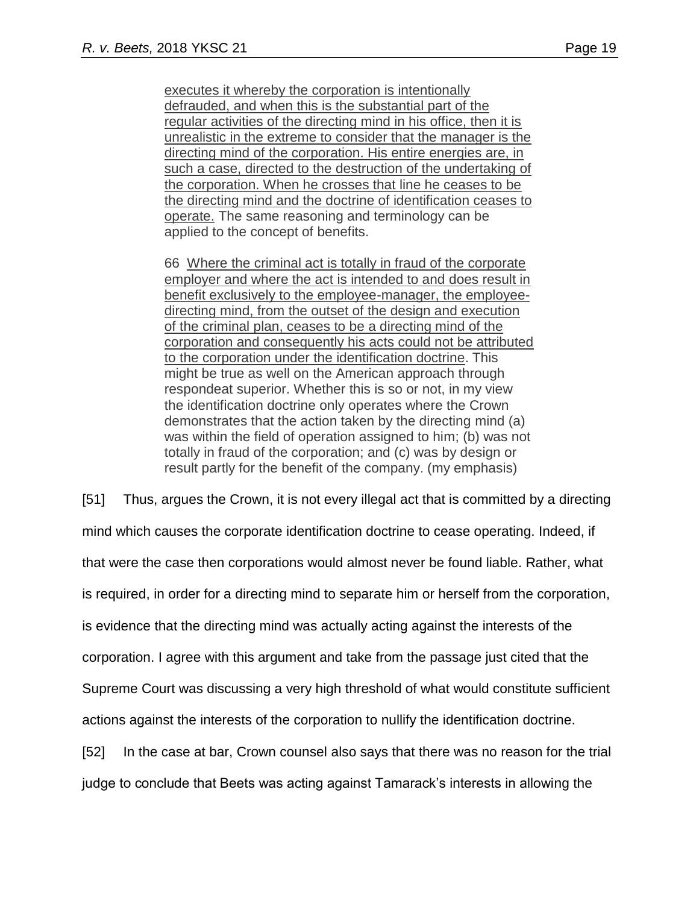executes it whereby the corporation is intentionally defrauded, and when this is the substantial part of the regular activities of the directing mind in his office, then it is unrealistic in the extreme to consider that the manager is the directing mind of the corporation. His entire energies are, in such a case, directed to the destruction of the undertaking of the corporation. When he crosses that line he ceases to be the directing mind and the doctrine of identification ceases to operate. The same reasoning and terminology can be applied to the concept of benefits.

66 Where the criminal act is totally in fraud of the corporate employer and where the act is intended to and does result in benefit exclusively to the employee-manager, the employeedirecting mind, from the outset of the design and execution of the criminal plan, ceases to be a directing mind of the corporation and consequently his acts could not be attributed to the corporation under the identification doctrine. This might be true as well on the American approach through respondeat superior. Whether this is so or not, in my view the identification doctrine only operates where the Crown demonstrates that the action taken by the directing mind (a) was within the field of operation assigned to him; (b) was not totally in fraud of the corporation; and (c) was by design or result partly for the benefit of the company. (my emphasis)

[51] Thus, argues the Crown, it is not every illegal act that is committed by a directing mind which causes the corporate identification doctrine to cease operating. Indeed, if that were the case then corporations would almost never be found liable. Rather, what is required, in order for a directing mind to separate him or herself from the corporation, is evidence that the directing mind was actually acting against the interests of the corporation. I agree with this argument and take from the passage just cited that the Supreme Court was discussing a very high threshold of what would constitute sufficient actions against the interests of the corporation to nullify the identification doctrine. [52] In the case at bar, Crown counsel also says that there was no reason for the trial judge to conclude that Beets was acting against Tamarack's interests in allowing the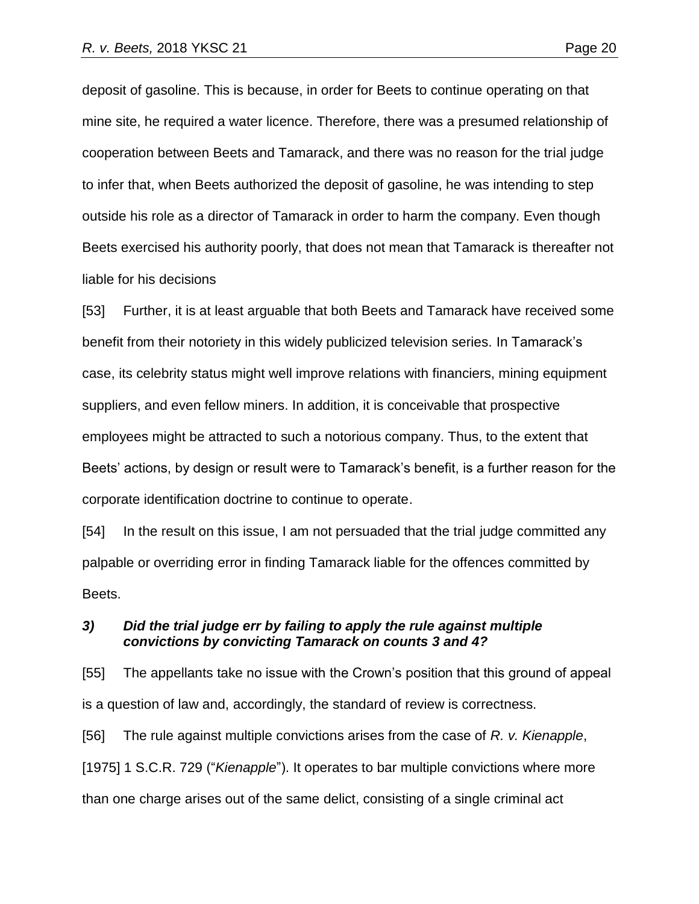deposit of gasoline. This is because, in order for Beets to continue operating on that mine site, he required a water licence. Therefore, there was a presumed relationship of cooperation between Beets and Tamarack, and there was no reason for the trial judge to infer that, when Beets authorized the deposit of gasoline, he was intending to step outside his role as a director of Tamarack in order to harm the company. Even though Beets exercised his authority poorly, that does not mean that Tamarack is thereafter not liable for his decisions

[53] Further, it is at least arguable that both Beets and Tamarack have received some benefit from their notoriety in this widely publicized television series. In Tamarack's case, its celebrity status might well improve relations with financiers, mining equipment suppliers, and even fellow miners. In addition, it is conceivable that prospective employees might be attracted to such a notorious company. Thus, to the extent that Beets' actions, by design or result were to Tamarack's benefit, is a further reason for the corporate identification doctrine to continue to operate.

[54] In the result on this issue, I am not persuaded that the trial judge committed any palpable or overriding error in finding Tamarack liable for the offences committed by Beets.

## *3) Did the trial judge err by failing to apply the rule against multiple convictions by convicting Tamarack on counts 3 and 4?*

[55] The appellants take no issue with the Crown's position that this ground of appeal is a question of law and, accordingly, the standard of review is correctness.

[56] The rule against multiple convictions arises from the case of *R. v. Kienapple*, [1975] 1 S.C.R. 729 ("Kienapple"). It operates to bar multiple convictions where more than one charge arises out of the same delict, consisting of a single criminal act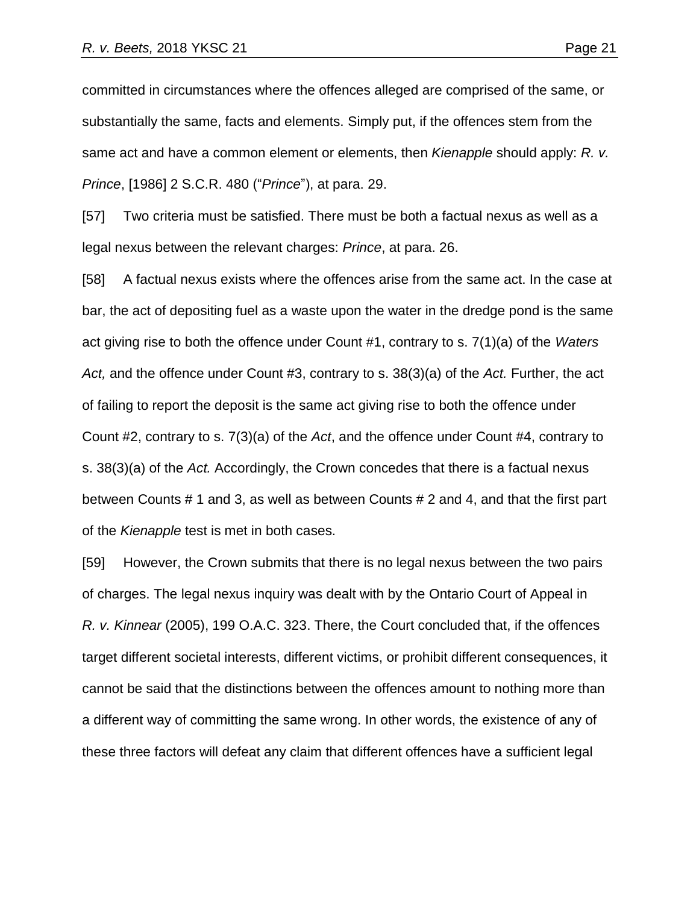committed in circumstances where the offences alleged are comprised of the same, or substantially the same, facts and elements. Simply put, if the offences stem from the same act and have a common element or elements, then *Kienapple* should apply: *R. v. Prince*, [1986] 2 S.C.R. 480 ("*Prince*"), at para. 29.

[57] Two criteria must be satisfied. There must be both a factual nexus as well as a legal nexus between the relevant charges: *Prince*, at para. 26.

[58] A factual nexus exists where the offences arise from the same act. In the case at bar, the act of depositing fuel as a waste upon the water in the dredge pond is the same act giving rise to both the offence under Count #1, contrary to s. 7(1)(a) of the *Waters Act,* and the offence under Count #3, contrary to s. 38(3)(a) of the *Act.* Further, the act of failing to report the deposit is the same act giving rise to both the offence under Count #2, contrary to s. 7(3)(a) of the *Act*, and the offence under Count #4, contrary to s. 38(3)(a) of the *Act.* Accordingly, the Crown concedes that there is a factual nexus between Counts # 1 and 3, as well as between Counts # 2 and 4, and that the first part of the *Kienapple* test is met in both cases.

[59] However, the Crown submits that there is no legal nexus between the two pairs of charges. The legal nexus inquiry was dealt with by the Ontario Court of Appeal in *R. v. Kinnear* (2005), 199 O.A.C. 323. There, the Court concluded that, if the offences target different societal interests, different victims, or prohibit different consequences, it cannot be said that the distinctions between the offences amount to nothing more than a different way of committing the same wrong. In other words, the existence of any of these three factors will defeat any claim that different offences have a sufficient legal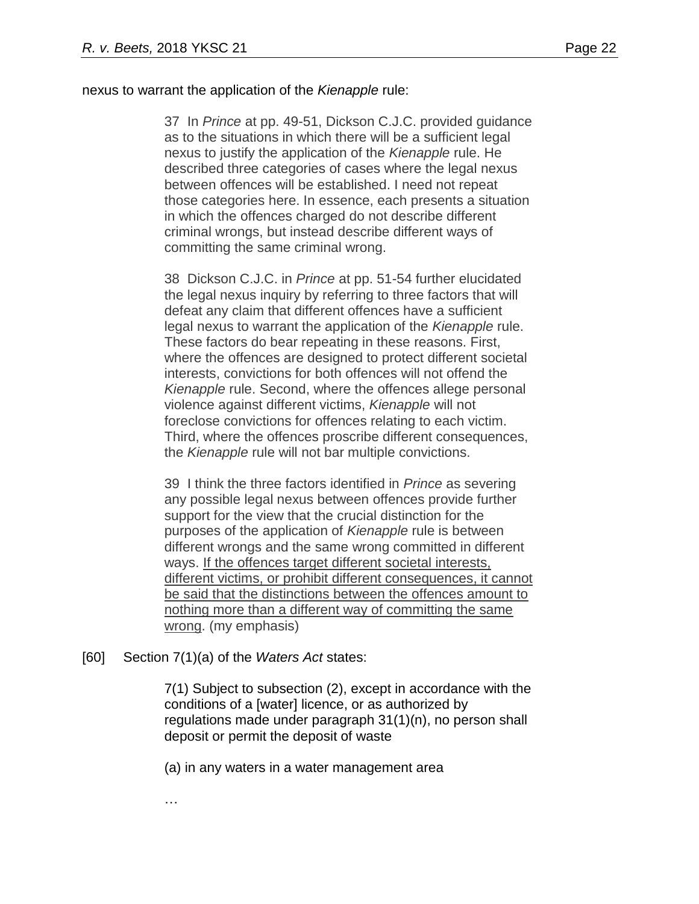## nexus to warrant the application of the *Kienapple* rule:

37 In *Prince* at pp. 49-51, Dickson C.J.C. provided guidance as to the situations in which there will be a sufficient legal nexus to justify the application of the *Kienapple* rule. He described three categories of cases where the legal nexus between offences will be established. I need not repeat those categories here. In essence, each presents a situation in which the offences charged do not describe different criminal wrongs, but instead describe different ways of committing the same criminal wrong.

38 Dickson C.J.C. in *Prince* at pp. 51-54 further elucidated the legal nexus inquiry by referring to three factors that will defeat any claim that different offences have a sufficient legal nexus to warrant the application of the *Kienapple* rule. These factors do bear repeating in these reasons. First, where the offences are designed to protect different societal interests, convictions for both offences will not offend the *Kienapple* rule. Second, where the offences allege personal violence against different victims, *Kienapple* will not foreclose convictions for offences relating to each victim. Third, where the offences proscribe different consequences, the *Kienapple* rule will not bar multiple convictions.

39 I think the three factors identified in *Prince* as severing any possible legal nexus between offences provide further support for the view that the crucial distinction for the purposes of the application of *Kienapple* rule is between different wrongs and the same wrong committed in different ways. If the offences target different societal interests, different victims, or prohibit different consequences, it cannot be said that the distinctions between the offences amount to nothing more than a different way of committing the same wrong. (my emphasis)

## [60] Section 7(1)(a) of the *Waters Act* states:

7(1) Subject to subsection (2), except in accordance with the conditions of a [water] licence, or as authorized by regulations made under paragraph 31(1)(n), no person shall deposit or permit the deposit of waste

(a) in any waters in a water management area

…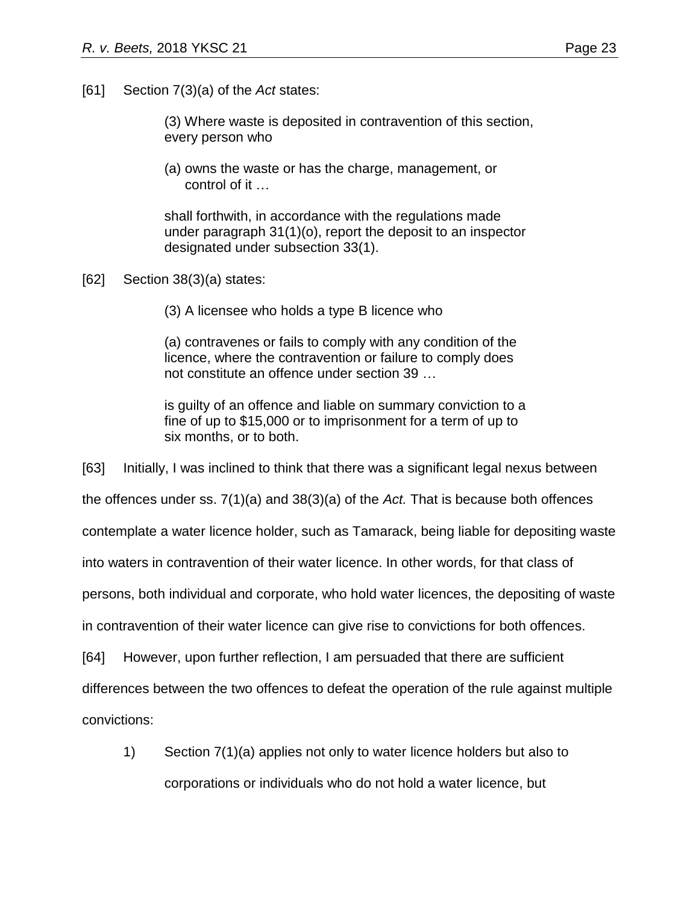[61] Section 7(3)(a) of the *Act* states:

(3) Where waste is deposited in contravention of this section, every person who

(a) owns the waste or has the charge, management, or control of it …

shall forthwith, in accordance with the regulations made under paragraph 31(1)(o), report the deposit to an inspector designated under subsection 33(1).

[62] Section 38(3)(a) states:

(3) A licensee who holds a type B licence who

(a) contravenes or fails to comply with any condition of the licence, where the contravention or failure to comply does not constitute an offence under section 39 …

is guilty of an offence and liable on summary conviction to a fine of up to \$15,000 or to imprisonment for a term of up to six months, or to both.

[63] Initially, I was inclined to think that there was a significant legal nexus between

the offences under ss. 7(1)(a) and 38(3)(a) of the *Act.* That is because both offences

contemplate a water licence holder, such as Tamarack, being liable for depositing waste

into waters in contravention of their water licence. In other words, for that class of

persons, both individual and corporate, who hold water licences, the depositing of waste

in contravention of their water licence can give rise to convictions for both offences.

[64] However, upon further reflection, I am persuaded that there are sufficient

differences between the two offences to defeat the operation of the rule against multiple

convictions:

1) Section 7(1)(a) applies not only to water licence holders but also to corporations or individuals who do not hold a water licence, but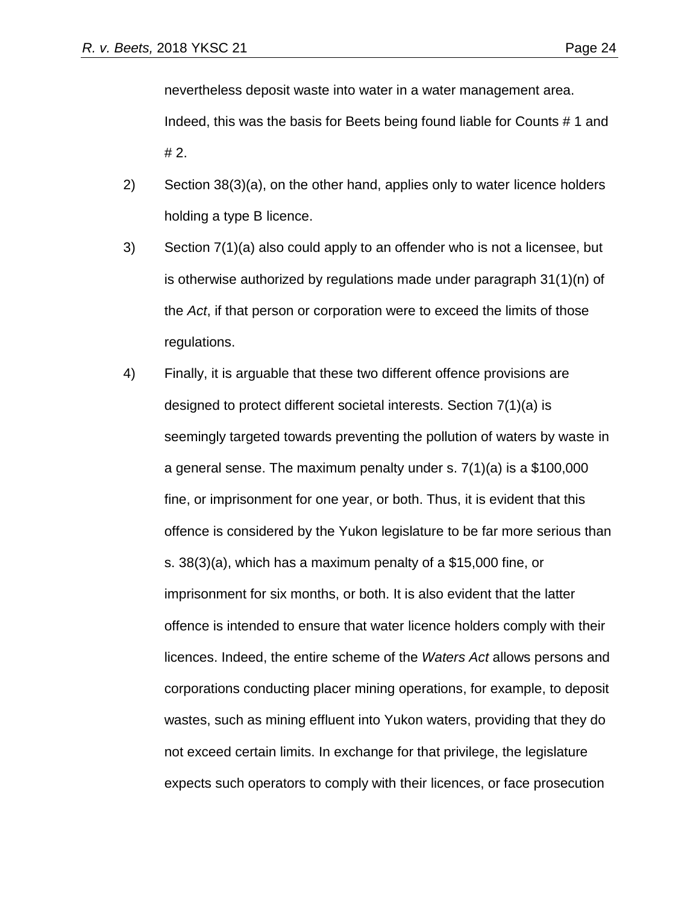nevertheless deposit waste into water in a water management area.

Indeed, this was the basis for Beets being found liable for Counts # 1 and # 2.

- 2) Section 38(3)(a), on the other hand, applies only to water licence holders holding a type B licence.
- 3) Section 7(1)(a) also could apply to an offender who is not a licensee, but is otherwise authorized by regulations made under paragraph 31(1)(n) of the *Act*, if that person or corporation were to exceed the limits of those regulations.
- 4) Finally, it is arguable that these two different offence provisions are designed to protect different societal interests. Section 7(1)(a) is seemingly targeted towards preventing the pollution of waters by waste in a general sense. The maximum penalty under s. 7(1)(a) is a \$100,000 fine, or imprisonment for one year, or both. Thus, it is evident that this offence is considered by the Yukon legislature to be far more serious than s. 38(3)(a), which has a maximum penalty of a \$15,000 fine, or imprisonment for six months, or both. It is also evident that the latter offence is intended to ensure that water licence holders comply with their licences. Indeed, the entire scheme of the *Waters Act* allows persons and corporations conducting placer mining operations, for example, to deposit wastes, such as mining effluent into Yukon waters, providing that they do not exceed certain limits. In exchange for that privilege, the legislature expects such operators to comply with their licences, or face prosecution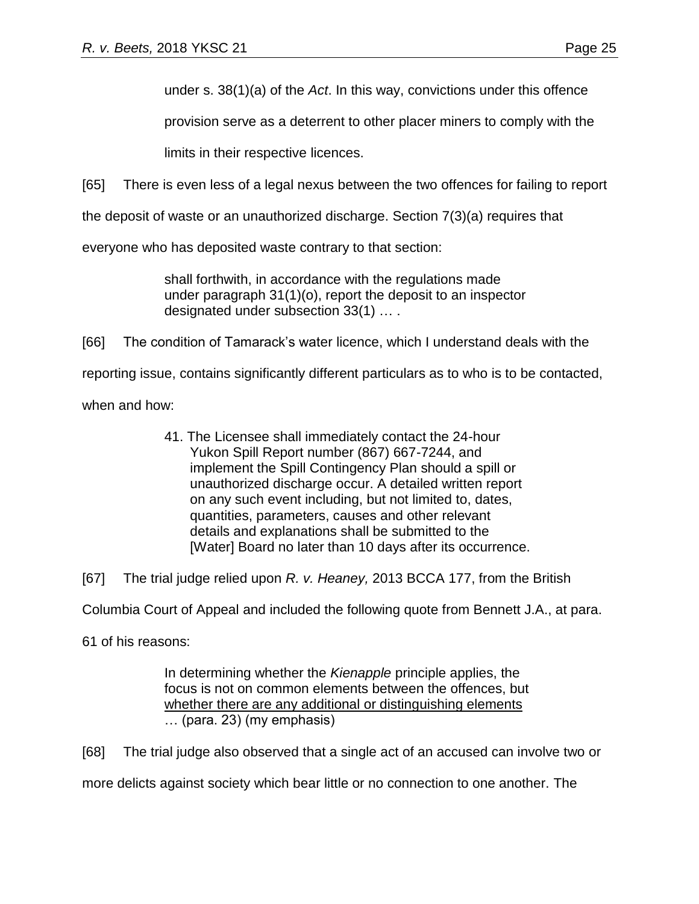under s. 38(1)(a) of the *Act*. In this way, convictions under this offence

provision serve as a deterrent to other placer miners to comply with the

limits in their respective licences.

[65] There is even less of a legal nexus between the two offences for failing to report

the deposit of waste or an unauthorized discharge. Section 7(3)(a) requires that

everyone who has deposited waste contrary to that section:

shall forthwith, in accordance with the regulations made under paragraph 31(1)(o), report the deposit to an inspector designated under subsection 33(1) … .

[66] The condition of Tamarack's water licence, which I understand deals with the

reporting issue, contains significantly different particulars as to who is to be contacted,

when and how:

41. The Licensee shall immediately contact the 24-hour Yukon Spill Report number (867) 667-7244, and implement the Spill Contingency Plan should a spill or unauthorized discharge occur. A detailed written report on any such event including, but not limited to, dates, quantities, parameters, causes and other relevant details and explanations shall be submitted to the [Water] Board no later than 10 days after its occurrence.

[67] The trial judge relied upon *R. v. Heaney,* 2013 BCCA 177, from the British

Columbia Court of Appeal and included the following quote from Bennett J.A., at para.

61 of his reasons:

In determining whether the *Kienapple* principle applies, the focus is not on common elements between the offences, but whether there are any additional or distinguishing elements … (para. 23) (my emphasis)

[68] The trial judge also observed that a single act of an accused can involve two or

more delicts against society which bear little or no connection to one another. The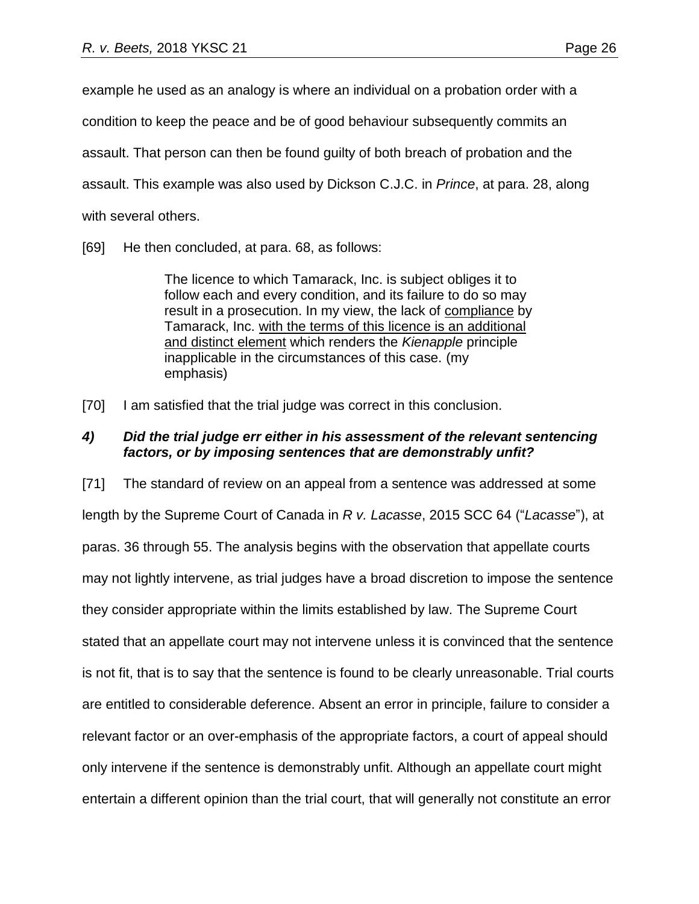example he used as an analogy is where an individual on a probation order with a

condition to keep the peace and be of good behaviour subsequently commits an

assault. That person can then be found guilty of both breach of probation and the

assault. This example was also used by Dickson C.J.C. in *Prince*, at para. 28, along

with several others.

[69] He then concluded, at para. 68, as follows:

The licence to which Tamarack, Inc. is subject obliges it to follow each and every condition, and its failure to do so may result in a prosecution. In my view, the lack of compliance by Tamarack, Inc. with the terms of this licence is an additional and distinct element which renders the *Kienapple* principle inapplicable in the circumstances of this case. (my emphasis)

[70] I am satisfied that the trial judge was correct in this conclusion.

# *4) Did the trial judge err either in his assessment of the relevant sentencing factors, or by imposing sentences that are demonstrably unfit?*

[71] The standard of review on an appeal from a sentence was addressed at some length by the Supreme Court of Canada in *R v. Lacasse*, 2015 SCC 64 ("*Lacasse*"), at paras. 36 through 55. The analysis begins with the observation that appellate courts may not lightly intervene, as trial judges have a broad discretion to impose the sentence they consider appropriate within the limits established by law. The Supreme Court stated that an appellate court may not intervene unless it is convinced that the sentence is not fit, that is to say that the sentence is found to be clearly unreasonable. Trial courts are entitled to considerable deference. Absent an error in principle, failure to consider a relevant factor or an over-emphasis of the appropriate factors, a court of appeal should only intervene if the sentence is demonstrably unfit. Although an appellate court might entertain a different opinion than the trial court, that will generally not constitute an error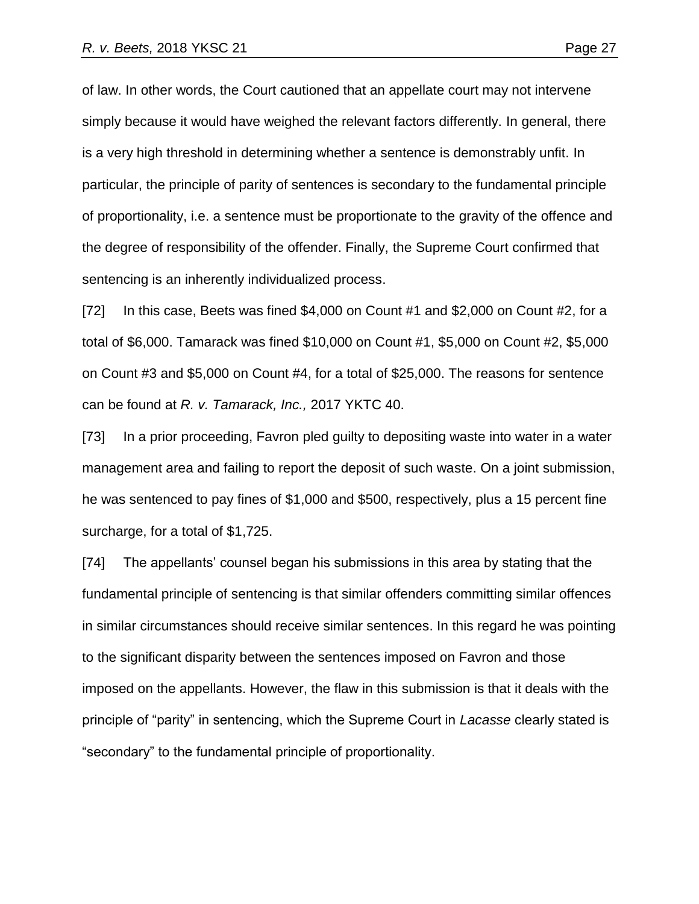of law. In other words, the Court cautioned that an appellate court may not intervene simply because it would have weighed the relevant factors differently. In general, there is a very high threshold in determining whether a sentence is demonstrably unfit. In particular, the principle of parity of sentences is secondary to the fundamental principle of proportionality, i.e. a sentence must be proportionate to the gravity of the offence and the degree of responsibility of the offender. Finally, the Supreme Court confirmed that sentencing is an inherently individualized process.

[72] In this case, Beets was fined \$4,000 on Count #1 and \$2,000 on Count #2, for a total of \$6,000. Tamarack was fined \$10,000 on Count #1, \$5,000 on Count #2, \$5,000 on Count #3 and \$5,000 on Count #4, for a total of \$25,000. The reasons for sentence can be found at *R. v. Tamarack, Inc.,* 2017 YKTC 40.

[73] In a prior proceeding, Favron pled guilty to depositing waste into water in a water management area and failing to report the deposit of such waste. On a joint submission, he was sentenced to pay fines of \$1,000 and \$500, respectively, plus a 15 percent fine surcharge, for a total of \$1,725.

[74] The appellants' counsel began his submissions in this area by stating that the fundamental principle of sentencing is that similar offenders committing similar offences in similar circumstances should receive similar sentences. In this regard he was pointing to the significant disparity between the sentences imposed on Favron and those imposed on the appellants. However, the flaw in this submission is that it deals with the principle of "parity" in sentencing, which the Supreme Court in *Lacasse* clearly stated is "secondary" to the fundamental principle of proportionality.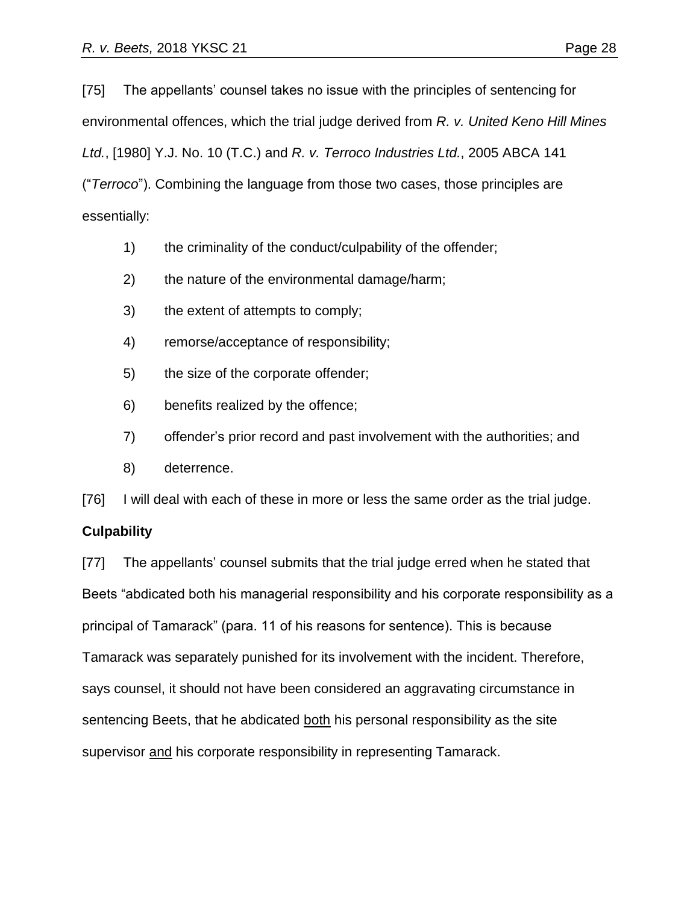[75] The appellants' counsel takes no issue with the principles of sentencing for environmental offences, which the trial judge derived from *R. v. United Keno Hill Mines Ltd.*, [1980] Y.J. No. 10 (T.C.) and *R. v. Terroco Industries Ltd.*, 2005 ABCA 141 ("*Terroco*"). Combining the language from those two cases, those principles are essentially:

- 1) the criminality of the conduct/culpability of the offender;
- 2) the nature of the environmental damage/harm;
- 3) the extent of attempts to comply;
- 4) remorse/acceptance of responsibility;
- 5) the size of the corporate offender;
- 6) benefits realized by the offence;
- 7) offender's prior record and past involvement with the authorities; and
- 8) deterrence.

[76] I will deal with each of these in more or less the same order as the trial judge.

#### **Culpability**

[77] The appellants' counsel submits that the trial judge erred when he stated that Beets "abdicated both his managerial responsibility and his corporate responsibility as a principal of Tamarack" (para. 11 of his reasons for sentence). This is because Tamarack was separately punished for its involvement with the incident. Therefore, says counsel, it should not have been considered an aggravating circumstance in sentencing Beets, that he abdicated both his personal responsibility as the site supervisor and his corporate responsibility in representing Tamarack.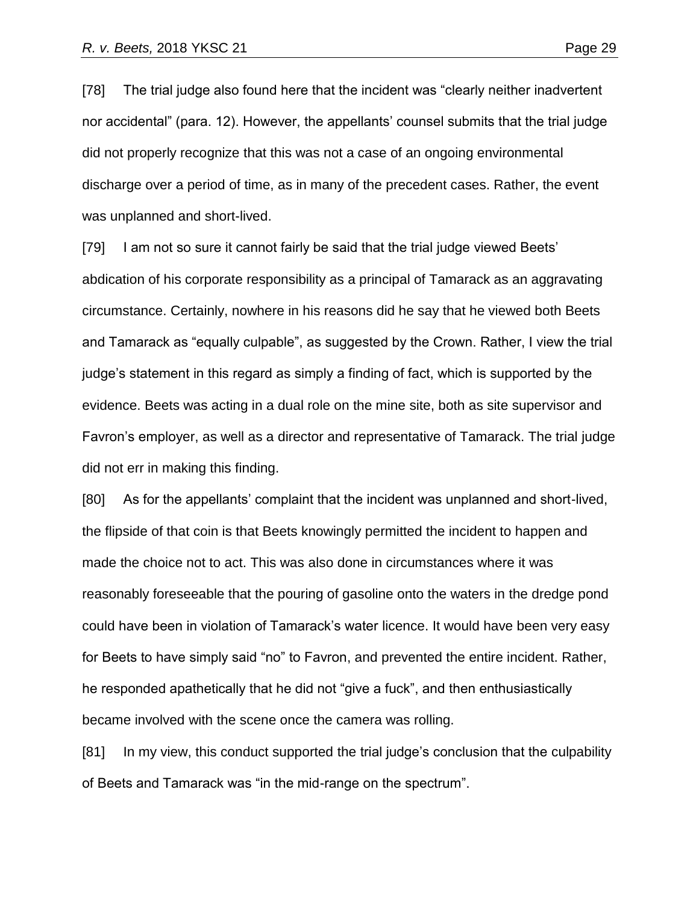[78] The trial judge also found here that the incident was "clearly neither inadvertent nor accidental" (para. 12). However, the appellants' counsel submits that the trial judge did not properly recognize that this was not a case of an ongoing environmental discharge over a period of time, as in many of the precedent cases. Rather, the event was unplanned and short-lived.

[79] I am not so sure it cannot fairly be said that the trial judge viewed Beets' abdication of his corporate responsibility as a principal of Tamarack as an aggravating circumstance. Certainly, nowhere in his reasons did he say that he viewed both Beets and Tamarack as "equally culpable", as suggested by the Crown. Rather, I view the trial judge's statement in this regard as simply a finding of fact, which is supported by the evidence. Beets was acting in a dual role on the mine site, both as site supervisor and Favron's employer, as well as a director and representative of Tamarack. The trial judge did not err in making this finding.

[80] As for the appellants' complaint that the incident was unplanned and short-lived, the flipside of that coin is that Beets knowingly permitted the incident to happen and made the choice not to act. This was also done in circumstances where it was reasonably foreseeable that the pouring of gasoline onto the waters in the dredge pond could have been in violation of Tamarack's water licence. It would have been very easy for Beets to have simply said "no" to Favron, and prevented the entire incident. Rather, he responded apathetically that he did not "give a fuck", and then enthusiastically became involved with the scene once the camera was rolling.

[81] In my view, this conduct supported the trial judge's conclusion that the culpability of Beets and Tamarack was "in the mid-range on the spectrum".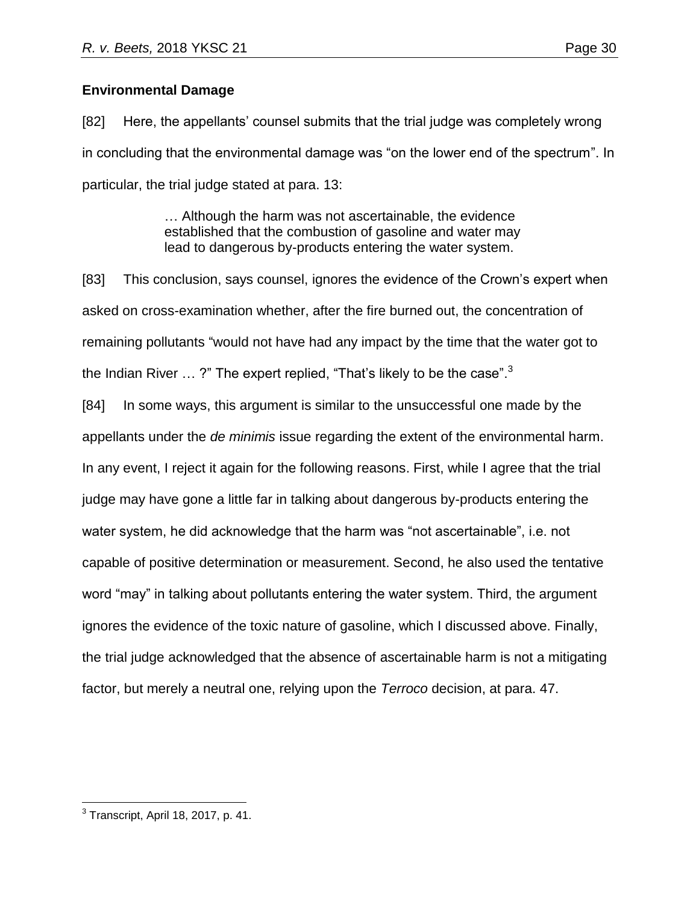# **Environmental Damage**

[82] Here, the appellants' counsel submits that the trial judge was completely wrong in concluding that the environmental damage was "on the lower end of the spectrum". In particular, the trial judge stated at para. 13:

> … Although the harm was not ascertainable, the evidence established that the combustion of gasoline and water may lead to dangerous by-products entering the water system.

[83] This conclusion, says counsel, ignores the evidence of the Crown's expert when asked on cross-examination whether, after the fire burned out, the concentration of remaining pollutants "would not have had any impact by the time that the water got to the Indian River  $\ldots$  ?" The expert replied, "That's likely to be the case".<sup>3</sup>

[84] In some ways, this argument is similar to the unsuccessful one made by the appellants under the *de minimis* issue regarding the extent of the environmental harm. In any event, I reject it again for the following reasons. First, while I agree that the trial judge may have gone a little far in talking about dangerous by-products entering the water system, he did acknowledge that the harm was "not ascertainable", i.e. not capable of positive determination or measurement. Second, he also used the tentative word "may" in talking about pollutants entering the water system. Third, the argument ignores the evidence of the toxic nature of gasoline, which I discussed above. Finally, the trial judge acknowledged that the absence of ascertainable harm is not a mitigating factor, but merely a neutral one, relying upon the *Terroco* decision, at para. 47.

 3 Transcript, April 18, 2017, p. 41.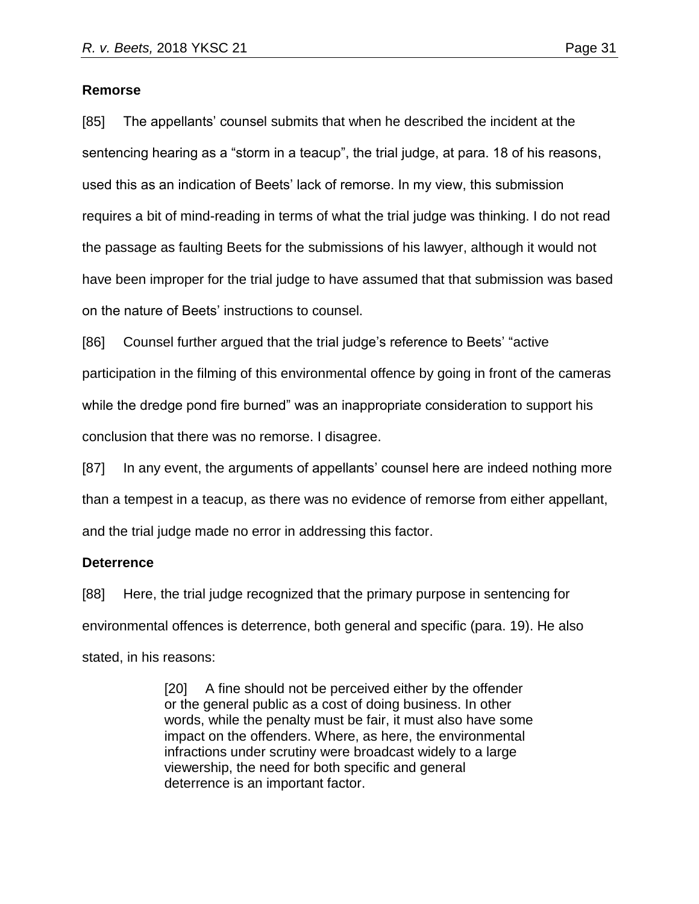#### **Remorse**

[85] The appellants' counsel submits that when he described the incident at the sentencing hearing as a "storm in a teacup", the trial judge, at para. 18 of his reasons, used this as an indication of Beets' lack of remorse. In my view, this submission requires a bit of mind-reading in terms of what the trial judge was thinking. I do not read the passage as faulting Beets for the submissions of his lawyer, although it would not have been improper for the trial judge to have assumed that that submission was based on the nature of Beets' instructions to counsel.

[86] Counsel further argued that the trial judge's reference to Beets' "active participation in the filming of this environmental offence by going in front of the cameras while the dredge pond fire burned" was an inappropriate consideration to support his conclusion that there was no remorse. I disagree.

[87] In any event, the arguments of appellants' counsel here are indeed nothing more than a tempest in a teacup, as there was no evidence of remorse from either appellant, and the trial judge made no error in addressing this factor.

## **Deterrence**

[88] Here, the trial judge recognized that the primary purpose in sentencing for environmental offences is deterrence, both general and specific (para. 19). He also stated, in his reasons:

> [20] A fine should not be perceived either by the offender or the general public as a cost of doing business. In other words, while the penalty must be fair, it must also have some impact on the offenders. Where, as here, the environmental infractions under scrutiny were broadcast widely to a large viewership, the need for both specific and general deterrence is an important factor.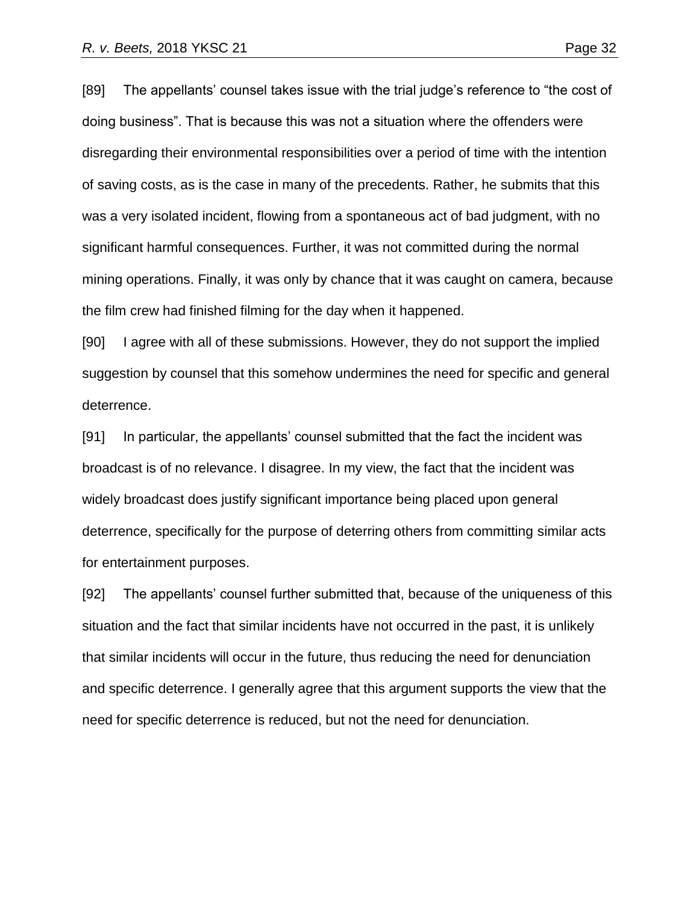[89] The appellants' counsel takes issue with the trial judge's reference to "the cost of doing business". That is because this was not a situation where the offenders were disregarding their environmental responsibilities over a period of time with the intention of saving costs, as is the case in many of the precedents. Rather, he submits that this was a very isolated incident, flowing from a spontaneous act of bad judgment, with no significant harmful consequences. Further, it was not committed during the normal mining operations. Finally, it was only by chance that it was caught on camera, because the film crew had finished filming for the day when it happened.

[90] I agree with all of these submissions. However, they do not support the implied suggestion by counsel that this somehow undermines the need for specific and general deterrence.

[91] In particular, the appellants' counsel submitted that the fact the incident was broadcast is of no relevance. I disagree. In my view, the fact that the incident was widely broadcast does justify significant importance being placed upon general deterrence, specifically for the purpose of deterring others from committing similar acts for entertainment purposes.

[92] The appellants' counsel further submitted that, because of the uniqueness of this situation and the fact that similar incidents have not occurred in the past, it is unlikely that similar incidents will occur in the future, thus reducing the need for denunciation and specific deterrence. I generally agree that this argument supports the view that the need for specific deterrence is reduced, but not the need for denunciation.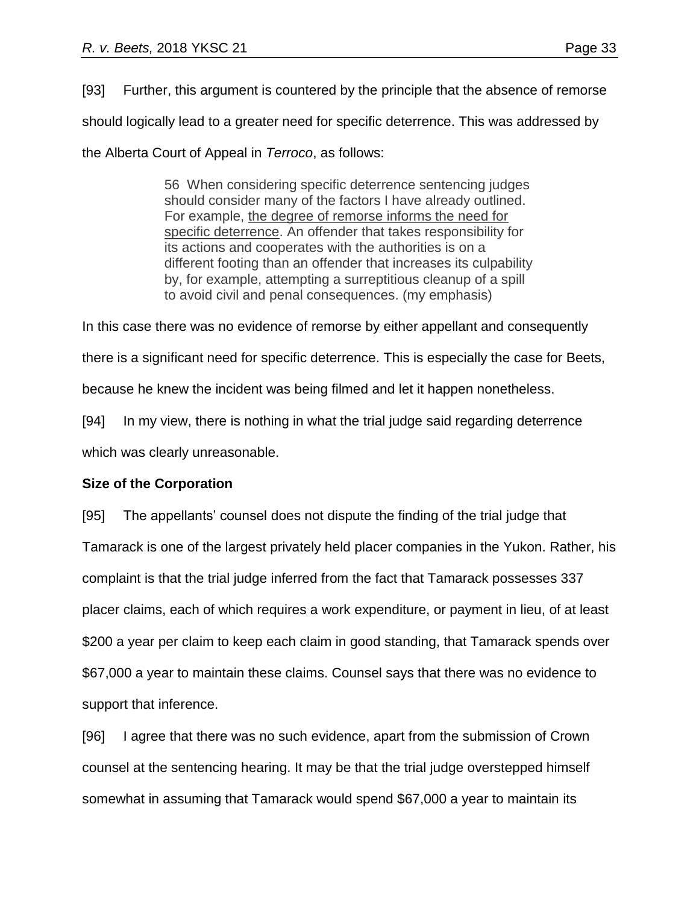[93] Further, this argument is countered by the principle that the absence of remorse should logically lead to a greater need for specific deterrence. This was addressed by the Alberta Court of Appeal in *Terroco*, as follows:

> 56 When considering specific deterrence sentencing judges should consider many of the factors I have already outlined. For example, the degree of remorse informs the need for specific deterrence. An offender that takes responsibility for its actions and cooperates with the authorities is on a different footing than an offender that increases its culpability by, for example, attempting a surreptitious cleanup of a spill to avoid civil and penal consequences. (my emphasis)

In this case there was no evidence of remorse by either appellant and consequently

there is a significant need for specific deterrence. This is especially the case for Beets,

because he knew the incident was being filmed and let it happen nonetheless.

[94] In my view, there is nothing in what the trial judge said regarding deterrence which was clearly unreasonable.

## **Size of the Corporation**

[95] The appellants' counsel does not dispute the finding of the trial judge that Tamarack is one of the largest privately held placer companies in the Yukon. Rather, his complaint is that the trial judge inferred from the fact that Tamarack possesses 337 placer claims, each of which requires a work expenditure, or payment in lieu, of at least \$200 a year per claim to keep each claim in good standing, that Tamarack spends over \$67,000 a year to maintain these claims. Counsel says that there was no evidence to support that inference.

[96] I agree that there was no such evidence, apart from the submission of Crown counsel at the sentencing hearing. It may be that the trial judge overstepped himself somewhat in assuming that Tamarack would spend \$67,000 a year to maintain its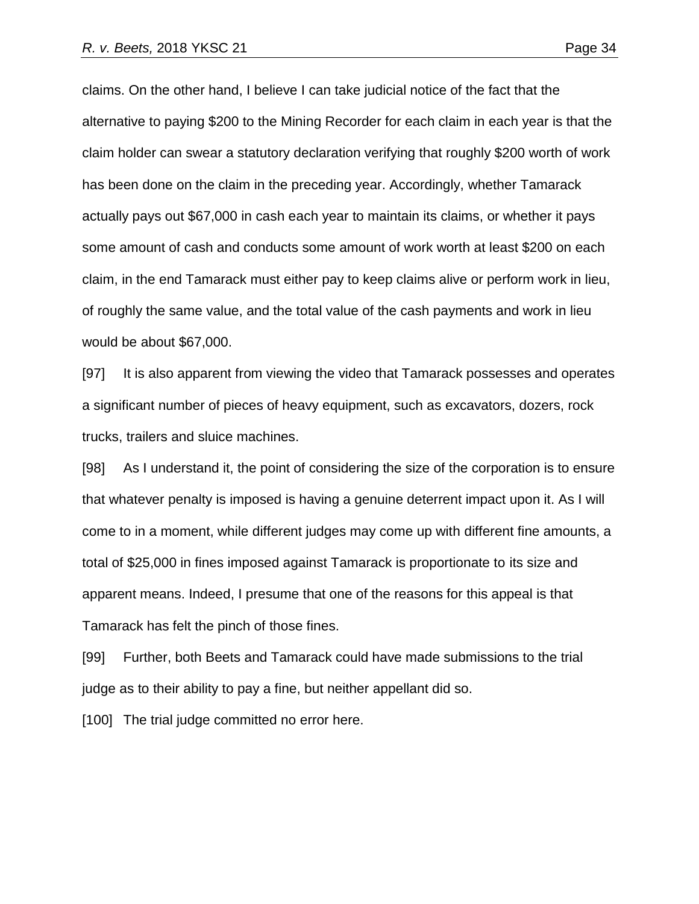claims. On the other hand, I believe I can take judicial notice of the fact that the alternative to paying \$200 to the Mining Recorder for each claim in each year is that the claim holder can swear a statutory declaration verifying that roughly \$200 worth of work has been done on the claim in the preceding year. Accordingly, whether Tamarack actually pays out \$67,000 in cash each year to maintain its claims, or whether it pays some amount of cash and conducts some amount of work worth at least \$200 on each claim, in the end Tamarack must either pay to keep claims alive or perform work in lieu, of roughly the same value, and the total value of the cash payments and work in lieu

would be about \$67,000.

[97] It is also apparent from viewing the video that Tamarack possesses and operates a significant number of pieces of heavy equipment, such as excavators, dozers, rock trucks, trailers and sluice machines.

[98] As I understand it, the point of considering the size of the corporation is to ensure that whatever penalty is imposed is having a genuine deterrent impact upon it. As I will come to in a moment, while different judges may come up with different fine amounts, a total of \$25,000 in fines imposed against Tamarack is proportionate to its size and apparent means. Indeed, I presume that one of the reasons for this appeal is that Tamarack has felt the pinch of those fines.

[99] Further, both Beets and Tamarack could have made submissions to the trial judge as to their ability to pay a fine, but neither appellant did so.

[100] The trial judge committed no error here.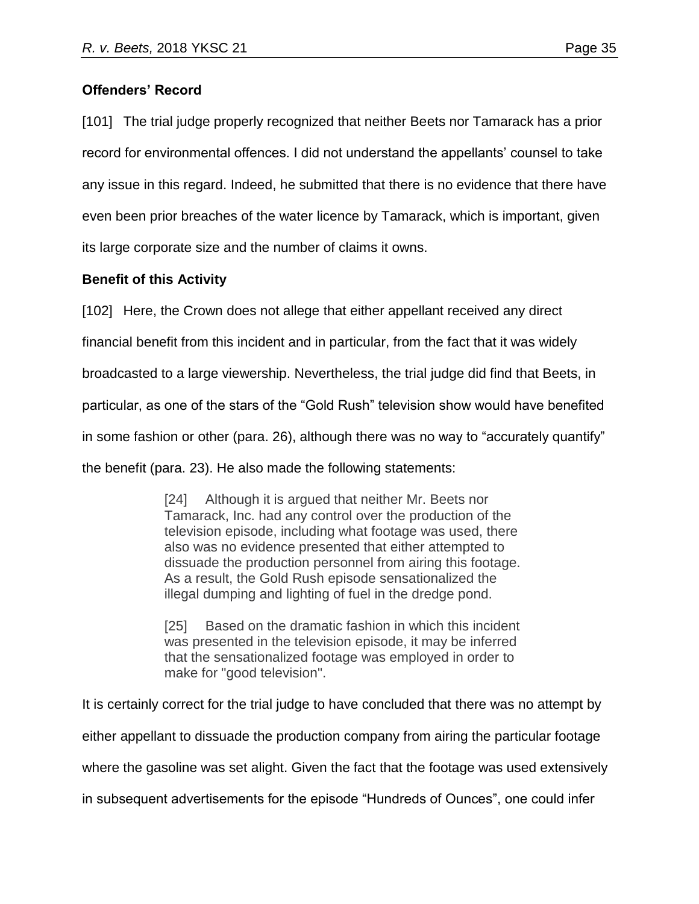# **Offenders' Record**

[101] The trial judge properly recognized that neither Beets nor Tamarack has a prior record for environmental offences. I did not understand the appellants' counsel to take any issue in this regard. Indeed, he submitted that there is no evidence that there have even been prior breaches of the water licence by Tamarack, which is important, given its large corporate size and the number of claims it owns.

# **Benefit of this Activity**

[102] Here, the Crown does not allege that either appellant received any direct

financial benefit from this incident and in particular, from the fact that it was widely

broadcasted to a large viewership. Nevertheless, the trial judge did find that Beets, in

particular, as one of the stars of the "Gold Rush" television show would have benefited

in some fashion or other (para. 26), although there was no way to "accurately quantify"

the benefit (para. 23). He also made the following statements:

[24] Although it is argued that neither Mr. Beets nor Tamarack, Inc. had any control over the production of the television episode, including what footage was used, there also was no evidence presented that either attempted to dissuade the production personnel from airing this footage. As a result, the Gold Rush episode sensationalized the illegal dumping and lighting of fuel in the dredge pond.

[25] Based on the dramatic fashion in which this incident was presented in the television episode, it may be inferred that the sensationalized footage was employed in order to make for "good television".

It is certainly correct for the trial judge to have concluded that there was no attempt by either appellant to dissuade the production company from airing the particular footage where the gasoline was set alight. Given the fact that the footage was used extensively in subsequent advertisements for the episode "Hundreds of Ounces", one could infer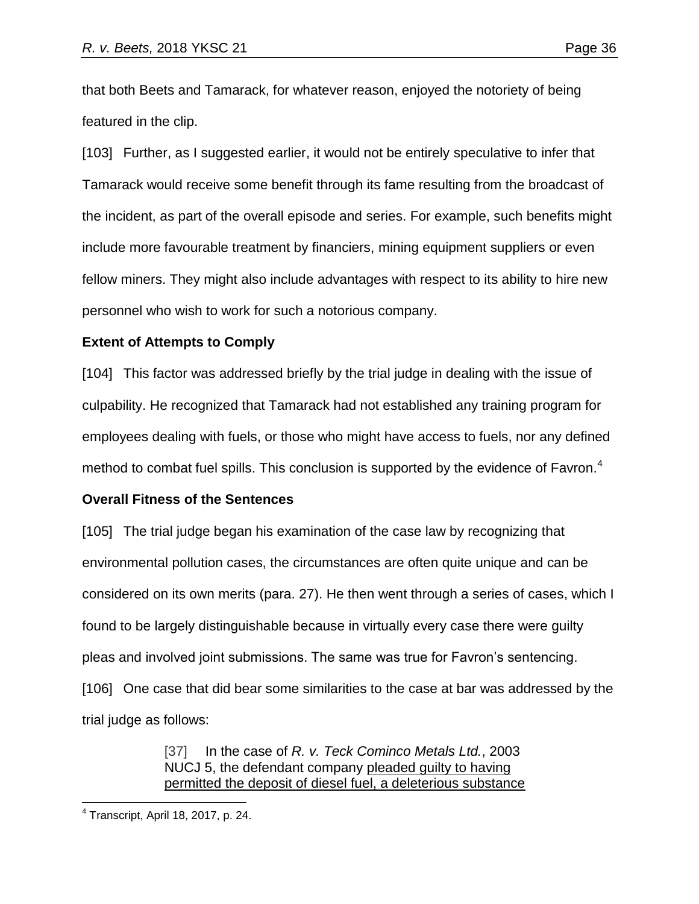that both Beets and Tamarack, for whatever reason, enjoyed the notoriety of being featured in the clip.

[103] Further, as I suggested earlier, it would not be entirely speculative to infer that Tamarack would receive some benefit through its fame resulting from the broadcast of the incident, as part of the overall episode and series. For example, such benefits might include more favourable treatment by financiers, mining equipment suppliers or even fellow miners. They might also include advantages with respect to its ability to hire new personnel who wish to work for such a notorious company.

## **Extent of Attempts to Comply**

[104] This factor was addressed briefly by the trial judge in dealing with the issue of culpability. He recognized that Tamarack had not established any training program for employees dealing with fuels, or those who might have access to fuels, nor any defined method to combat fuel spills. This conclusion is supported by the evidence of Favron.<sup>4</sup>

## **Overall Fitness of the Sentences**

[105] The trial judge began his examination of the case law by recognizing that environmental pollution cases, the circumstances are often quite unique and can be considered on its own merits (para. 27). He then went through a series of cases, which I found to be largely distinguishable because in virtually every case there were guilty pleas and involved joint submissions. The same was true for Favron's sentencing. [106] One case that did bear some similarities to the case at bar was addressed by the trial judge as follows:

> [37] In the case of *R. v. Teck Cominco Metals Ltd.*, [2003](https://advance.lexis.com/search/?pdmfid=1505209&crid=8e4d806f-c915-4a3e-98a6-76d8f0d323c8&pdsearchterms=2017yktc40&pdicsfeatureid=1517129&pdstartin=hlct%3A1%3A11&pdtypeofsearch=searchboxclick&pdsearchtype=SearchBox&pdqttype=and&pdpsf=%3A%3A1&ecomp=5gkck&earg=pdpsf&prid=af8a28d1-0f2a-4627-acc8-4cf3db711cfa)  [NUCJ 5,](https://advance.lexis.com/search/?pdmfid=1505209&crid=8e4d806f-c915-4a3e-98a6-76d8f0d323c8&pdsearchterms=2017yktc40&pdicsfeatureid=1517129&pdstartin=hlct%3A1%3A11&pdtypeofsearch=searchboxclick&pdsearchtype=SearchBox&pdqttype=and&pdpsf=%3A%3A1&ecomp=5gkck&earg=pdpsf&prid=af8a28d1-0f2a-4627-acc8-4cf3db711cfa) the defendant company pleaded guilty to having permitted the deposit of diesel fuel, a deleterious substance

 $\overline{a}$ 4 Transcript, April 18, 2017, p. 24.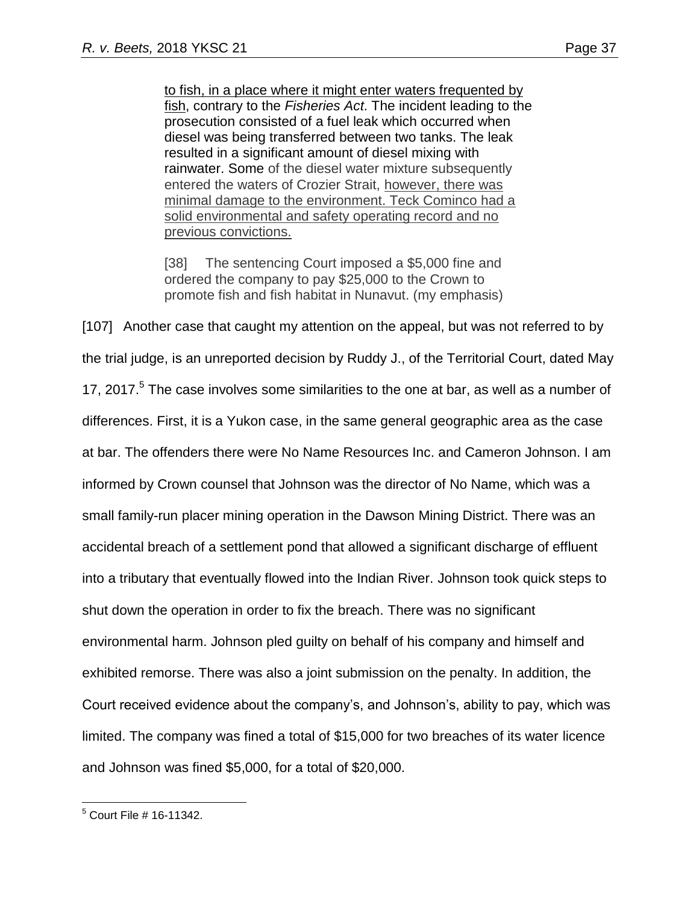to fish, in a place where it might enter waters frequented by fish, contrary to the *Fisheries Act*. The incident leading to the prosecution consisted of a fuel leak which occurred when diesel was being transferred between two tanks. The leak resulted in a significant amount of diesel mixing with rainwater. Some of the diesel water mixture subsequently entered the waters of Crozier Strait, however, there was minimal damage to the environment. Teck Cominco had a solid environmental and safety operating record and no previous convictions.

[38] The sentencing Court imposed a \$5,000 fine and ordered the company to pay \$25,000 to the Crown to promote fish and fish habitat in Nunavut. (my emphasis)

[107] Another case that caught my attention on the appeal, but was not referred to by the trial judge, is an unreported decision by Ruddy J., of the Territorial Court, dated May 17, 2017.<sup>5</sup> The case involves some similarities to the one at bar, as well as a number of differences. First, it is a Yukon case, in the same general geographic area as the case at bar. The offenders there were No Name Resources Inc. and Cameron Johnson. I am informed by Crown counsel that Johnson was the director of No Name, which was a small family-run placer mining operation in the Dawson Mining District. There was an accidental breach of a settlement pond that allowed a significant discharge of effluent into a tributary that eventually flowed into the Indian River. Johnson took quick steps to shut down the operation in order to fix the breach. There was no significant environmental harm. Johnson pled guilty on behalf of his company and himself and exhibited remorse. There was also a joint submission on the penalty. In addition, the Court received evidence about the company's, and Johnson's, ability to pay, which was limited. The company was fined a total of \$15,000 for two breaches of its water licence and Johnson was fined \$5,000, for a total of \$20,000.

 $\overline{a}$  $5$  Court File # 16-11342.